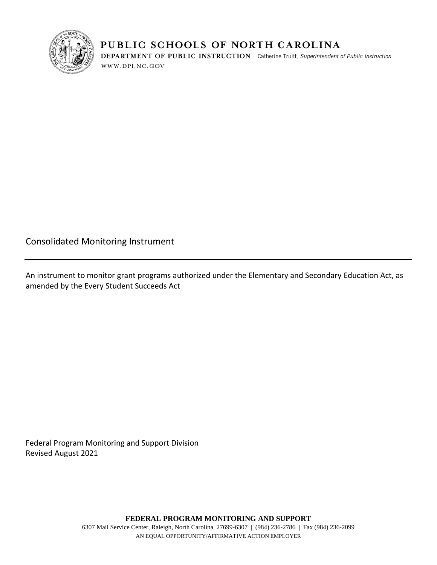

## PUBLIC SCHOOLS OF NORTH CAROLINA

**DEPARTMENT OF PUBLIC INSTRUCTION** | Catherine Truitt, Superintendent of Public Instruction WWW.DPI.NC.GOV

Consolidated Monitoring Instrument

An instrument to monitor grant programs authorized under the Elementary and Secondary Education Act, as amended by the Every Student Succeeds Act

Federal Program Monitoring and Support Division Revised August 2021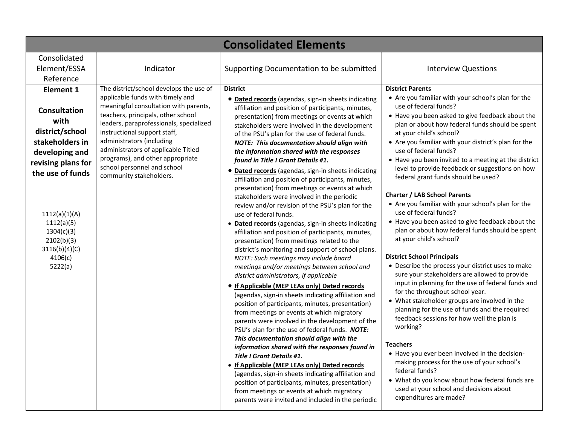| <b>Consolidated Elements</b>                                                                                                                                                                                                                        |                                                                                                                                                                                                                                                                                                                                                                                                         |                                                                                                                                                                                                                                                                                                                                                                                                                                                                                                                                                                                                                                                                                                                                                                                                                                                                                                                                                                                                                                                                                                                                                                                                                                                                                                                                                                                                                                                                                                                                                                                                                                                                                                                                                                                  |                                                                                                                                                                                                                                                                                                                                                                                                                                                                                                                                                                                                                                                                                                                                                                                                                                                                                                                                                                                                                                                                                                                                                                                                                                                                                                                                                                                                   |
|-----------------------------------------------------------------------------------------------------------------------------------------------------------------------------------------------------------------------------------------------------|---------------------------------------------------------------------------------------------------------------------------------------------------------------------------------------------------------------------------------------------------------------------------------------------------------------------------------------------------------------------------------------------------------|----------------------------------------------------------------------------------------------------------------------------------------------------------------------------------------------------------------------------------------------------------------------------------------------------------------------------------------------------------------------------------------------------------------------------------------------------------------------------------------------------------------------------------------------------------------------------------------------------------------------------------------------------------------------------------------------------------------------------------------------------------------------------------------------------------------------------------------------------------------------------------------------------------------------------------------------------------------------------------------------------------------------------------------------------------------------------------------------------------------------------------------------------------------------------------------------------------------------------------------------------------------------------------------------------------------------------------------------------------------------------------------------------------------------------------------------------------------------------------------------------------------------------------------------------------------------------------------------------------------------------------------------------------------------------------------------------------------------------------------------------------------------------------|---------------------------------------------------------------------------------------------------------------------------------------------------------------------------------------------------------------------------------------------------------------------------------------------------------------------------------------------------------------------------------------------------------------------------------------------------------------------------------------------------------------------------------------------------------------------------------------------------------------------------------------------------------------------------------------------------------------------------------------------------------------------------------------------------------------------------------------------------------------------------------------------------------------------------------------------------------------------------------------------------------------------------------------------------------------------------------------------------------------------------------------------------------------------------------------------------------------------------------------------------------------------------------------------------------------------------------------------------------------------------------------------------|
| Consolidated<br>Element/ESSA<br>Reference                                                                                                                                                                                                           | Indicator                                                                                                                                                                                                                                                                                                                                                                                               | Supporting Documentation to be submitted                                                                                                                                                                                                                                                                                                                                                                                                                                                                                                                                                                                                                                                                                                                                                                                                                                                                                                                                                                                                                                                                                                                                                                                                                                                                                                                                                                                                                                                                                                                                                                                                                                                                                                                                         | <b>Interview Questions</b>                                                                                                                                                                                                                                                                                                                                                                                                                                                                                                                                                                                                                                                                                                                                                                                                                                                                                                                                                                                                                                                                                                                                                                                                                                                                                                                                                                        |
| <b>Element 1</b><br><b>Consultation</b><br>with<br>district/school<br>stakeholders in<br>developing and<br>revising plans for<br>the use of funds<br>1112(a)(1)(A)<br>1112(a)(5)<br>1304(c)(3)<br>2102(b)(3)<br>3116(b)(4)(C)<br>4106(c)<br>5222(a) | The district/school develops the use of<br>applicable funds with timely and<br>meaningful consultation with parents,<br>teachers, principals, other school<br>leaders, paraprofessionals, specialized<br>instructional support staff,<br>administrators (including<br>administrators of applicable Titled<br>programs), and other appropriate<br>school personnel and school<br>community stakeholders. | <b>District</b><br>• Dated records (agendas, sign-in sheets indicating<br>affiliation and position of participants, minutes,<br>presentation) from meetings or events at which<br>stakeholders were involved in the development<br>of the PSU's plan for the use of federal funds.<br><b>NOTE: This documentation should align with</b><br>the information shared with the responses<br>found in Title I Grant Details #1.<br>• Dated records (agendas, sign-in sheets indicating<br>affiliation and position of participants, minutes,<br>presentation) from meetings or events at which<br>stakeholders were involved in the periodic<br>review and/or revision of the PSU's plan for the<br>use of federal funds.<br>· Dated records (agendas, sign-in sheets indicating<br>affiliation and position of participants, minutes,<br>presentation) from meetings related to the<br>district's monitoring and support of school plans.<br>NOTE: Such meetings may include board<br>meetings and/or meetings between school and<br>district administrators, if applicable<br>• If Applicable (MEP LEAs only) Dated records<br>(agendas, sign-in sheets indicating affiliation and<br>position of participants, minutes, presentation)<br>from meetings or events at which migratory<br>parents were involved in the development of the<br>PSU's plan for the use of federal funds. NOTE:<br>This documentation should align with the<br>information shared with the responses found in<br>Title I Grant Details #1.<br>• If Applicable (MEP LEAs only) Dated records<br>(agendas, sign-in sheets indicating affiliation and<br>position of participants, minutes, presentation)<br>from meetings or events at which migratory<br>parents were invited and included in the periodic | <b>District Parents</b><br>• Are you familiar with your school's plan for the<br>use of federal funds?<br>• Have you been asked to give feedback about the<br>plan or about how federal funds should be spent<br>at your child's school?<br>• Are you familiar with your district's plan for the<br>use of federal funds?<br>• Have you been invited to a meeting at the district<br>level to provide feedback or suggestions on how<br>federal grant funds should be used?<br><b>Charter / LAB School Parents</b><br>• Are you familiar with your school's plan for the<br>use of federal funds?<br>• Have you been asked to give feedback about the<br>plan or about how federal funds should be spent<br>at your child's school?<br><b>District School Principals</b><br>• Describe the process your district uses to make<br>sure your stakeholders are allowed to provide<br>input in planning for the use of federal funds and<br>for the throughout school year.<br>• What stakeholder groups are involved in the<br>planning for the use of funds and the required<br>feedback sessions for how well the plan is<br>working?<br><b>Teachers</b><br>• Have you ever been involved in the decision-<br>making process for the use of your school's<br>federal funds?<br>• What do you know about how federal funds are<br>used at your school and decisions about<br>expenditures are made? |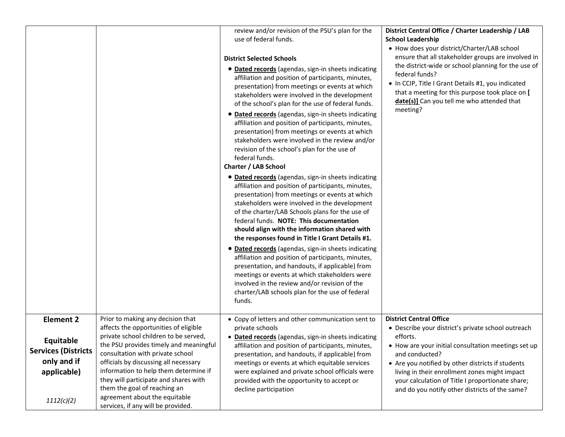|                                                                                                         |                                                                                                                                                                                                                                                                                                                                                                                                                                     | review and/or revision of the PSU's plan for the<br>use of federal funds.<br><b>District Selected Schools</b><br>• Dated records (agendas, sign-in sheets indicating<br>affiliation and position of participants, minutes,<br>presentation) from meetings or events at which<br>stakeholders were involved in the development<br>of the school's plan for the use of federal funds.<br>• Dated records (agendas, sign-in sheets indicating<br>affiliation and position of participants, minutes,<br>presentation) from meetings or events at which<br>stakeholders were involved in the review and/or<br>revision of the school's plan for the use of<br>federal funds.<br><b>Charter / LAB School</b><br>• Dated records (agendas, sign-in sheets indicating<br>affiliation and position of participants, minutes,<br>presentation) from meetings or events at which<br>stakeholders were involved in the development<br>of the charter/LAB Schools plans for the use of<br>federal funds. NOTE: This documentation<br>should align with the information shared with<br>the responses found in Title I Grant Details #1.<br>• Dated records (agendas, sign-in sheets indicating<br>affiliation and position of participants, minutes,<br>presentation, and handouts, if applicable) from<br>meetings or events at which stakeholders were<br>involved in the review and/or revision of the | District Central Office / Charter Leadership / LAB<br><b>School Leadership</b><br>• How does your district/Charter/LAB school<br>ensure that all stakeholder groups are involved in<br>the district-wide or school planning for the use of<br>federal funds?<br>• In CCIP, Title I Grant Details #1, you indicated<br>that a meeting for this purpose took place on [<br>date(s)] Can you tell me who attended that<br>meeting? |
|---------------------------------------------------------------------------------------------------------|-------------------------------------------------------------------------------------------------------------------------------------------------------------------------------------------------------------------------------------------------------------------------------------------------------------------------------------------------------------------------------------------------------------------------------------|---------------------------------------------------------------------------------------------------------------------------------------------------------------------------------------------------------------------------------------------------------------------------------------------------------------------------------------------------------------------------------------------------------------------------------------------------------------------------------------------------------------------------------------------------------------------------------------------------------------------------------------------------------------------------------------------------------------------------------------------------------------------------------------------------------------------------------------------------------------------------------------------------------------------------------------------------------------------------------------------------------------------------------------------------------------------------------------------------------------------------------------------------------------------------------------------------------------------------------------------------------------------------------------------------------------------------------------------------------------------------------------------|---------------------------------------------------------------------------------------------------------------------------------------------------------------------------------------------------------------------------------------------------------------------------------------------------------------------------------------------------------------------------------------------------------------------------------|
|                                                                                                         |                                                                                                                                                                                                                                                                                                                                                                                                                                     | charter/LAB schools plan for the use of federal<br>funds.                                                                                                                                                                                                                                                                                                                                                                                                                                                                                                                                                                                                                                                                                                                                                                                                                                                                                                                                                                                                                                                                                                                                                                                                                                                                                                                                   |                                                                                                                                                                                                                                                                                                                                                                                                                                 |
| <b>Element 2</b><br>Equitable<br><b>Services (Districts</b><br>only and if<br>applicable)<br>1112(c)(2) | Prior to making any decision that<br>affects the opportunities of eligible<br>private school children to be served,<br>the PSU provides timely and meaningful<br>consultation with private school<br>officials by discussing all necessary<br>information to help them determine if<br>they will participate and shares with<br>them the goal of reaching an<br>agreement about the equitable<br>services, if any will be provided. | • Copy of letters and other communication sent to<br>private schools<br>• Dated records (agendas, sign-in sheets indicating<br>affiliation and position of participants, minutes,<br>presentation, and handouts, if applicable) from<br>meetings or events at which equitable services<br>were explained and private school officials were<br>provided with the opportunity to accept or<br>decline participation                                                                                                                                                                                                                                                                                                                                                                                                                                                                                                                                                                                                                                                                                                                                                                                                                                                                                                                                                                           | <b>District Central Office</b><br>• Describe your district's private school outreach<br>efforts.<br>• How are your initial consultation meetings set up<br>and conducted?<br>• Are you notified by other districts if students<br>living in their enrollment zones might impact<br>your calculation of Title I proportionate share;<br>and do you notify other districts of the same?                                           |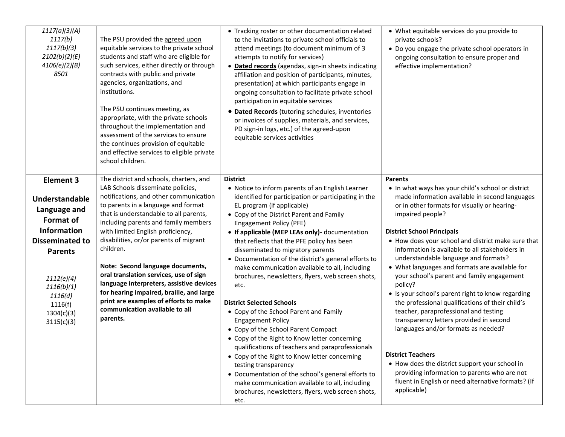| 1117(a)(3)(A)<br>1117(b)<br>1117(b)(3)<br>2102(b)(2)(E)<br>4106(e)(2)(B)<br>8501                                                                                                                                       | The PSU provided the agreed upon<br>equitable services to the private school<br>students and staff who are eligible for<br>such services, either directly or through<br>contracts with public and private<br>agencies, organizations, and<br>institutions.<br>The PSU continues meeting, as<br>appropriate, with the private schools<br>throughout the implementation and<br>assessment of the services to ensure<br>the continues provision of equitable<br>and effective services to eligible private<br>school children.                                                                              | • Tracking roster or other documentation related<br>to the invitations to private school officials to<br>attend meetings (to document minimum of 3<br>attempts to notify for services)<br>• Dated records (agendas, sign-in sheets indicating<br>affiliation and position of participants, minutes,<br>presentation) at which participants engage in<br>ongoing consultation to facilitate private school<br>participation in equitable services<br>· Dated Records (tutoring schedules, inventories<br>or invoices of supplies, materials, and services,<br>PD sign-in logs, etc.) of the agreed-upon<br>equitable services activities                                                                                                                                                                                                                                                                                                                                                                                                          | • What equitable services do you provide to<br>private schools?<br>• Do you engage the private school operators in<br>ongoing consultation to ensure proper and<br>effective implementation?                                                                                                                                                                                                                                                                                                                                                                                                                                                                                                                                                                                                                                                                                                                                       |
|------------------------------------------------------------------------------------------------------------------------------------------------------------------------------------------------------------------------|----------------------------------------------------------------------------------------------------------------------------------------------------------------------------------------------------------------------------------------------------------------------------------------------------------------------------------------------------------------------------------------------------------------------------------------------------------------------------------------------------------------------------------------------------------------------------------------------------------|--------------------------------------------------------------------------------------------------------------------------------------------------------------------------------------------------------------------------------------------------------------------------------------------------------------------------------------------------------------------------------------------------------------------------------------------------------------------------------------------------------------------------------------------------------------------------------------------------------------------------------------------------------------------------------------------------------------------------------------------------------------------------------------------------------------------------------------------------------------------------------------------------------------------------------------------------------------------------------------------------------------------------------------------------|------------------------------------------------------------------------------------------------------------------------------------------------------------------------------------------------------------------------------------------------------------------------------------------------------------------------------------------------------------------------------------------------------------------------------------------------------------------------------------------------------------------------------------------------------------------------------------------------------------------------------------------------------------------------------------------------------------------------------------------------------------------------------------------------------------------------------------------------------------------------------------------------------------------------------------|
| <b>Element 3</b><br>Understandable<br>Language and<br><b>Format of</b><br><b>Information</b><br><b>Disseminated to</b><br><b>Parents</b><br>1112(e)(4)<br>1116(b)(1)<br>1116(d)<br>1116(f)<br>1304(c)(3)<br>3115(c)(3) | The district and schools, charters, and<br>LAB Schools disseminate policies,<br>notifications, and other communication<br>to parents in a language and format<br>that is understandable to all parents,<br>including parents and family members<br>with limited English proficiency,<br>disabilities, or/or parents of migrant<br>children.<br>Note: Second language documents,<br>oral translation services, use of sign<br>language interpreters, assistive devices<br>for hearing impaired, braille, and large<br>print are examples of efforts to make<br>communication available to all<br>parents. | <b>District</b><br>• Notice to inform parents of an English Learner<br>identified for participation or participating in the<br>EL program (if applicable)<br>• Copy of the District Parent and Family<br>Engagement Policy (PFE)<br>• If applicable (MEP LEAs only)- documentation<br>that reflects that the PFE policy has been<br>disseminated to migratory parents<br>• Documentation of the district's general efforts to<br>make communication available to all, including<br>brochures, newsletters, flyers, web screen shots,<br>etc.<br><b>District Selected Schools</b><br>• Copy of the School Parent and Family<br><b>Engagement Policy</b><br>• Copy of the School Parent Compact<br>• Copy of the Right to Know letter concerning<br>qualifications of teachers and paraprofessionals<br>• Copy of the Right to Know letter concerning<br>testing transparency<br>• Documentation of the school's general efforts to<br>make communication available to all, including<br>brochures, newsletters, flyers, web screen shots,<br>etc. | <b>Parents</b><br>• In what ways has your child's school or district<br>made information available in second languages<br>or in other formats for visually or hearing-<br>impaired people?<br><b>District School Principals</b><br>• How does your school and district make sure that<br>information is available to all stakeholders in<br>understandable language and formats?<br>• What languages and formats are available for<br>your school's parent and family engagement<br>policy?<br>• Is your school's parent right to know regarding<br>the professional qualifications of their child's<br>teacher, paraprofessional and testing<br>transparency letters provided in second<br>languages and/or formats as needed?<br><b>District Teachers</b><br>• How does the district support your school in<br>providing information to parents who are not<br>fluent in English or need alternative formats? (If<br>applicable) |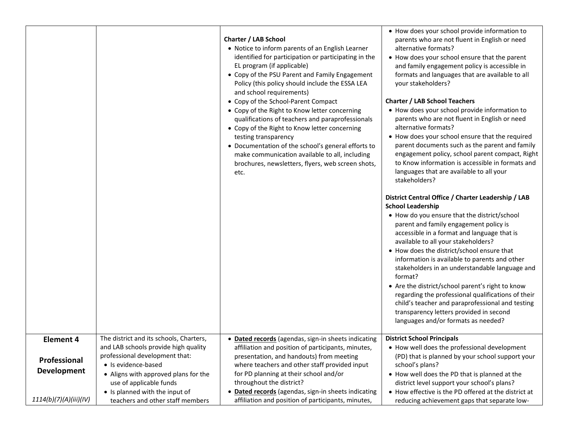|                                                                                  |                                                                                                                                                                                                                                                                                   | <b>Charter / LAB School</b><br>• Notice to inform parents of an English Learner<br>identified for participation or participating in the<br>EL program (if applicable)<br>• Copy of the PSU Parent and Family Engagement<br>Policy (this policy should include the ESSA LEA<br>and school requirements)<br>• Copy of the School-Parent Compact<br>• Copy of the Right to Know letter concerning<br>qualifications of teachers and paraprofessionals<br>• Copy of the Right to Know letter concerning<br>testing transparency<br>• Documentation of the school's general efforts to<br>make communication available to all, including<br>brochures, newsletters, flyers, web screen shots,<br>etc. | • How does your school provide information to<br>parents who are not fluent in English or need<br>alternative formats?<br>• How does your school ensure that the parent<br>and family engagement policy is accessible in<br>formats and languages that are available to all<br>your stakeholders?<br><b>Charter / LAB School Teachers</b><br>• How does your school provide information to<br>parents who are not fluent in English or need<br>alternative formats?<br>• How does your school ensure that the required<br>parent documents such as the parent and family<br>engagement policy, school parent compact, Right<br>to Know information is accessible in formats and<br>languages that are available to all your<br>stakeholders?<br>District Central Office / Charter Leadership / LAB<br><b>School Leadership</b><br>• How do you ensure that the district/school |
|----------------------------------------------------------------------------------|-----------------------------------------------------------------------------------------------------------------------------------------------------------------------------------------------------------------------------------------------------------------------------------|--------------------------------------------------------------------------------------------------------------------------------------------------------------------------------------------------------------------------------------------------------------------------------------------------------------------------------------------------------------------------------------------------------------------------------------------------------------------------------------------------------------------------------------------------------------------------------------------------------------------------------------------------------------------------------------------------|--------------------------------------------------------------------------------------------------------------------------------------------------------------------------------------------------------------------------------------------------------------------------------------------------------------------------------------------------------------------------------------------------------------------------------------------------------------------------------------------------------------------------------------------------------------------------------------------------------------------------------------------------------------------------------------------------------------------------------------------------------------------------------------------------------------------------------------------------------------------------------|
|                                                                                  |                                                                                                                                                                                                                                                                                   |                                                                                                                                                                                                                                                                                                                                                                                                                                                                                                                                                                                                                                                                                                  | parent and family engagement policy is<br>accessible in a format and language that is<br>available to all your stakeholders?<br>• How does the district/school ensure that<br>information is available to parents and other<br>stakeholders in an understandable language and<br>format?<br>• Are the district/school parent's right to know<br>regarding the professional qualifications of their<br>child's teacher and paraprofessional and testing<br>transparency letters provided in second<br>languages and/or formats as needed?                                                                                                                                                                                                                                                                                                                                       |
| <b>Element 4</b><br>Professional<br><b>Development</b><br>1114(b)(7)(A)(iii)(IV) | The district and its schools, Charters,<br>and LAB schools provide high quality<br>professional development that:<br>· Is evidence-based<br>• Aligns with approved plans for the<br>use of applicable funds<br>• Is planned with the input of<br>teachers and other staff members | • Dated records (agendas, sign-in sheets indicating<br>affiliation and position of participants, minutes,<br>presentation, and handouts) from meeting<br>where teachers and other staff provided input<br>for PD planning at their school and/or<br>throughout the district?<br>· Dated records (agendas, sign-in sheets indicating<br>affiliation and position of participants, minutes,                                                                                                                                                                                                                                                                                                        | <b>District School Principals</b><br>• How well does the professional development<br>(PD) that is planned by your school support your<br>school's plans?<br>• How well does the PD that is planned at the<br>district level support your school's plans?<br>• How effective is the PD offered at the district at<br>reducing achievement gaps that separate low-                                                                                                                                                                                                                                                                                                                                                                                                                                                                                                               |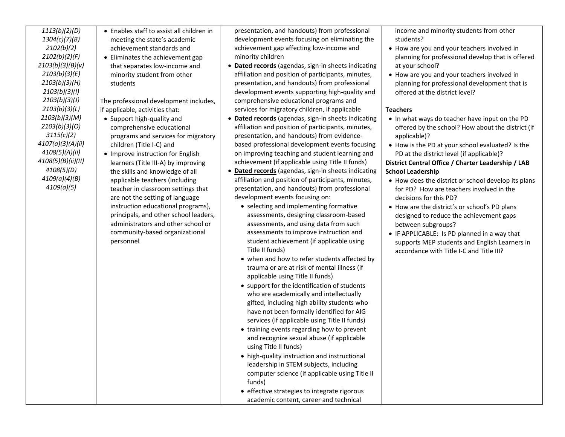| 1113(b)(2)(D)      |
|--------------------|
| 1304(c)(7)(B)      |
| 2102(b)(2)         |
| 2102(b)(2)(F)      |
| 2103(b)(3)(B)(v)   |
| 2103(b)(3)(E)      |
| 2103(b)(3)(H)      |
| 2103(b)(3)(I)      |
| 2103(b)(3)(J)      |
| 2103(b)(3)(L)      |
| 2103(b)(3)(M)      |
| 2103(b)(3)(O)      |
| 3115(c)(2)         |
| 4107(a)(3)(A)(ii)  |
| 4108(5)(A)(ii)     |
| 4108(5)(B)(ii)(II) |
| 4108(5)(D)         |
| 4109(a)(4)(B)      |
| 4109(a)(5)         |

• Enables staff to assist all children in meeting the state's academic achievement standards and • Eliminates the achievement gap that separates low-income and minority student from other students

The professional development includes, if applicable, activities that:

- Support high-quality and comprehensive educational programs and services for migratory children (Title I-C) and
- Improve instruction for English learners (Title III-A) by improving the skills and knowledge of all applicable teachers (including teacher in classroom settings that are not the setting of language instruction educational programs), principals, and other school leaders, administrators and other school or community-based organizational personnel

presentation, and handouts) from professional development events focusing on eliminating the achievement gap affecting low-income and minority children

- **Dated records** (agendas, sign-in sheets indicating affiliation and position of participants, minutes, presentation, and handouts) from professional development events supporting high-quality and comprehensive educational programs and services for migratory children, if applicable
- **Dated records** (agendas, sign-in sheets indicating affiliation and position of participants, minutes, presentation, and handouts) from evidencebased professional development events focusing on improving teaching and student learning and achievement (if applicable using Title II funds)
- **Dated records** (agendas, sign-in sheets indicating affiliation and position of participants, minutes, presentation, and handouts) from professional development events focusing on:
	- selecting and implementing formative assessments, designing classroom-based assessments, and using data from such assessments to improve instruction and student achievement (if applicable using Title II funds)
	- when and how to refer students affected by trauma or are at risk of mental illness (if applicable using Title II funds)
	- support for the identification of students who are academically and intellectually gifted, including high ability students who have not been formally identified for AIG services (if applicable using Title II funds)
	- training events regarding how to prevent and recognize sexual abuse (if applicable using Title II funds)
	- high-quality instruction and instructional leadership in STEM subjects, including computer science (if applicable using Title II funds)
	- effective strategies to integrate rigorous academic content, career and technical

income and minority students from other students?

- How are you and your teachers involved in planning for professional develop that is offered at your school?
- How are you and your teachers involved in planning for professional development that is offered at the district level?

## **Teachers**

- In what ways do teacher have input on the PD offered by the school? How about the district (if applicable)?
- How is the PD at your school evaluated? Is the PD at the district level (if applicable)?

## **District Central Office / Charter Leadership / LAB School Leadership**

- How does the district or school develop its plans for PD? How are teachers involved in the decisions for this PD?
- How are the district's or school's PD plans designed to reduce the achievement gaps between subgroups?
- IF APPLICABLE: Is PD planned in a way that supports MEP students and English Learners in accordance with Title I-C and Title III?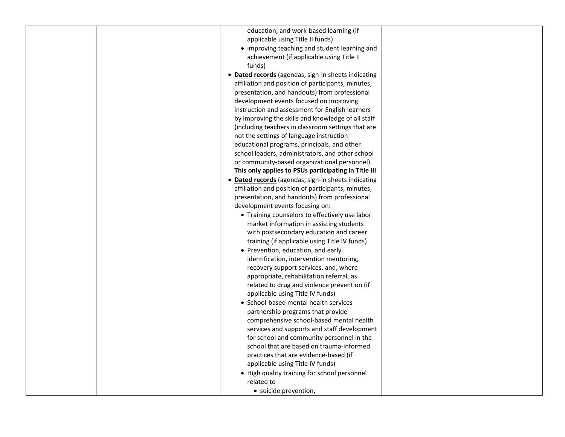| education, and work-based learning (if               |  |
|------------------------------------------------------|--|
| applicable using Title II funds)                     |  |
| • improving teaching and student learning and        |  |
| achievement (if applicable using Title II            |  |
| funds)                                               |  |
| • Dated records (agendas, sign-in sheets indicating  |  |
| affiliation and position of participants, minutes,   |  |
| presentation, and handouts) from professional        |  |
| development events focused on improving              |  |
| instruction and assessment for English learners      |  |
| by improving the skills and knowledge of all staff   |  |
| (including teachers in classroom settings that are   |  |
| not the settings of language instruction             |  |
| educational programs, principals, and other          |  |
| school leaders, administrators, and other school     |  |
| or community-based organizational personnel).        |  |
| This only applies to PSUs participating in Title III |  |
| • Dated records (agendas, sign-in sheets indicating  |  |
| affiliation and position of participants, minutes,   |  |
| presentation, and handouts) from professional        |  |
| development events focusing on:                      |  |
| • Training counselors to effectively use labor       |  |
| market information in assisting students             |  |
| with postsecondary education and career              |  |
| training (if applicable using Title IV funds)        |  |
| • Prevention, education, and early                   |  |
| identification, intervention mentoring,              |  |
| recovery support services, and, where                |  |
| appropriate, rehabilitation referral, as             |  |
| related to drug and violence prevention (if          |  |
| applicable using Title IV funds)                     |  |
| • School-based mental health services                |  |
| partnership programs that provide                    |  |
| comprehensive school-based mental health             |  |
| services and supports and staff development          |  |
| for school and community personnel in the            |  |
| school that are based on trauma-informed             |  |
| practices that are evidence-based (if                |  |
| applicable using Title IV funds)                     |  |
| • High quality training for school personnel         |  |
| related to                                           |  |
| • suicide prevention,                                |  |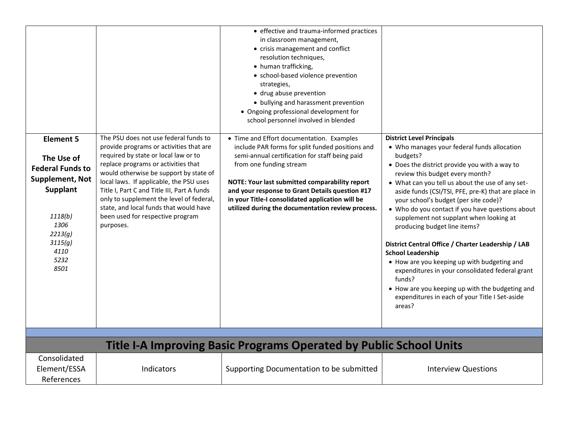|                                                                                                                                                           |                                                                                                                                                                                                                                                                                                                                                                                                                                            | • effective and trauma-informed practices<br>in classroom management,<br>• crisis management and conflict<br>resolution techniques,<br>• human trafficking,<br>• school-based violence prevention<br>strategies,<br>· drug abuse prevention<br>• bullying and harassment prevention<br>• Ongoing professional development for<br>school personnel involved in blended                    |                                                                                                                                                                                                                                                                                                                                                                                                                                                                                                                                                                                                                                                                                                                                                                                 |
|-----------------------------------------------------------------------------------------------------------------------------------------------------------|--------------------------------------------------------------------------------------------------------------------------------------------------------------------------------------------------------------------------------------------------------------------------------------------------------------------------------------------------------------------------------------------------------------------------------------------|------------------------------------------------------------------------------------------------------------------------------------------------------------------------------------------------------------------------------------------------------------------------------------------------------------------------------------------------------------------------------------------|---------------------------------------------------------------------------------------------------------------------------------------------------------------------------------------------------------------------------------------------------------------------------------------------------------------------------------------------------------------------------------------------------------------------------------------------------------------------------------------------------------------------------------------------------------------------------------------------------------------------------------------------------------------------------------------------------------------------------------------------------------------------------------|
| <b>Element 5</b><br>The Use of<br><b>Federal Funds to</b><br>Supplement, Not<br>Supplant<br>1118(b)<br>1306<br>2213(q)<br>3115(g)<br>4110<br>5232<br>8501 | The PSU does not use federal funds to<br>provide programs or activities that are<br>required by state or local law or to<br>replace programs or activities that<br>would otherwise be support by state of<br>local laws. If applicable, the PSU uses<br>Title I, Part C and Title III, Part A funds<br>only to supplement the level of federal,<br>state, and local funds that would have<br>been used for respective program<br>purposes. | • Time and Effort documentation. Examples<br>include PAR forms for split funded positions and<br>semi-annual certification for staff being paid<br>from one funding stream<br>NOTE: Your last submitted comparability report<br>and your response to Grant Details question #17<br>in your Title-I consolidated application will be<br>utilized during the documentation review process. | <b>District Level Principals</b><br>• Who manages your federal funds allocation<br>budgets?<br>• Does the district provide you with a way to<br>review this budget every month?<br>• What can you tell us about the use of any set-<br>aside funds (CSI/TSI, PFE, pre-K) that are place in<br>your school's budget (per site code)?<br>• Who do you contact if you have questions about<br>supplement not supplant when looking at<br>producing budget line items?<br>District Central Office / Charter Leadership / LAB<br><b>School Leadership</b><br>• How are you keeping up with budgeting and<br>expenditures in your consolidated federal grant<br>funds?<br>• How are you keeping up with the budgeting and<br>expenditures in each of your Title I Set-aside<br>areas? |
|                                                                                                                                                           |                                                                                                                                                                                                                                                                                                                                                                                                                                            | <b>Title I-A Improving Basic Programs Operated by Public School Units</b>                                                                                                                                                                                                                                                                                                                |                                                                                                                                                                                                                                                                                                                                                                                                                                                                                                                                                                                                                                                                                                                                                                                 |
| Consolidated<br>Element/ESSA<br>References                                                                                                                | Indicators                                                                                                                                                                                                                                                                                                                                                                                                                                 | Supporting Documentation to be submitted                                                                                                                                                                                                                                                                                                                                                 | <b>Interview Questions</b>                                                                                                                                                                                                                                                                                                                                                                                                                                                                                                                                                                                                                                                                                                                                                      |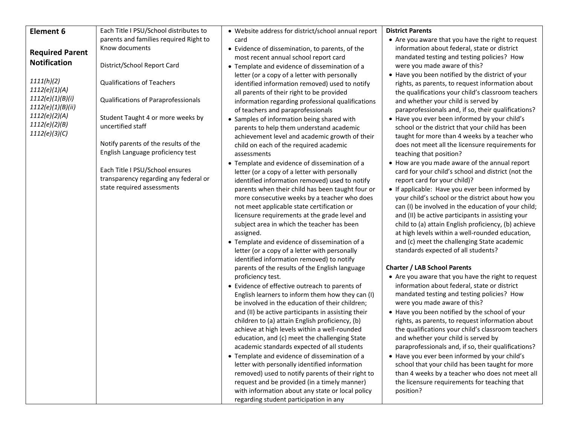| <b>Element 6</b>                                                     | Each Title I PSU/School distributes to                                                                 | • Website address for district/school annual report                                                                                                                                                                                                                                                                                                                                                                                                                                                                                                                                                                                                                                                                                                                                        | <b>District Parents</b>                                                                                                                                                                                                                                                                                                                                                                                                                                                                                                                                                                                                                                                                               |
|----------------------------------------------------------------------|--------------------------------------------------------------------------------------------------------|--------------------------------------------------------------------------------------------------------------------------------------------------------------------------------------------------------------------------------------------------------------------------------------------------------------------------------------------------------------------------------------------------------------------------------------------------------------------------------------------------------------------------------------------------------------------------------------------------------------------------------------------------------------------------------------------------------------------------------------------------------------------------------------------|-------------------------------------------------------------------------------------------------------------------------------------------------------------------------------------------------------------------------------------------------------------------------------------------------------------------------------------------------------------------------------------------------------------------------------------------------------------------------------------------------------------------------------------------------------------------------------------------------------------------------------------------------------------------------------------------------------|
|                                                                      | parents and families required Right to                                                                 | card                                                                                                                                                                                                                                                                                                                                                                                                                                                                                                                                                                                                                                                                                                                                                                                       | • Are you aware that you have the right to request                                                                                                                                                                                                                                                                                                                                                                                                                                                                                                                                                                                                                                                    |
| <b>Required Parent</b>                                               | Know documents                                                                                         | • Evidence of dissemination, to parents, of the<br>most recent annual school report card                                                                                                                                                                                                                                                                                                                                                                                                                                                                                                                                                                                                                                                                                                   | information about federal, state or district<br>mandated testing and testing policies? How                                                                                                                                                                                                                                                                                                                                                                                                                                                                                                                                                                                                            |
| <b>Notification</b>                                                  | District/School Report Card                                                                            | • Template and evidence of dissemination of a                                                                                                                                                                                                                                                                                                                                                                                                                                                                                                                                                                                                                                                                                                                                              | were you made aware of this?                                                                                                                                                                                                                                                                                                                                                                                                                                                                                                                                                                                                                                                                          |
| 1111(h)(2)<br>1112(e)(1)(A)<br>1112(e)(1)(B)(i)<br>1112(e)(1)(B)(ii) | <b>Qualifications of Teachers</b><br>Qualifications of Paraprofessionals                               | letter (or a copy of a letter with personally<br>identified information removed) used to notify<br>all parents of their right to be provided<br>information regarding professional qualifications<br>of teachers and paraprofessionals                                                                                                                                                                                                                                                                                                                                                                                                                                                                                                                                                     | • Have you been notified by the district of your<br>rights, as parents, to request information about<br>the qualifications your child's classroom teachers<br>and whether your child is served by<br>paraprofessionals and, if so, their qualifications?                                                                                                                                                                                                                                                                                                                                                                                                                                              |
| 1112(e)(2)(A)<br>1112(e)(2)(B)<br>1112(e)(3)(C)                      | Student Taught 4 or more weeks by<br>uncertified staff                                                 | • Samples of information being shared with<br>parents to help them understand academic<br>achievement level and academic growth of their                                                                                                                                                                                                                                                                                                                                                                                                                                                                                                                                                                                                                                                   | • Have you ever been informed by your child's<br>school or the district that your child has been<br>taught for more than 4 weeks by a teacher who                                                                                                                                                                                                                                                                                                                                                                                                                                                                                                                                                     |
|                                                                      | Notify parents of the results of the<br>English Language proficiency test                              | child on each of the required academic<br>assessments                                                                                                                                                                                                                                                                                                                                                                                                                                                                                                                                                                                                                                                                                                                                      | does not meet all the licensure requirements for<br>teaching that position?                                                                                                                                                                                                                                                                                                                                                                                                                                                                                                                                                                                                                           |
|                                                                      | Each Title I PSU/School ensures<br>transparency regarding any federal or<br>state required assessments | • Template and evidence of dissemination of a<br>letter (or a copy of a letter with personally<br>identified information removed) used to notify<br>parents when their child has been taught four or<br>more consecutive weeks by a teacher who does<br>not meet applicable state certification or<br>licensure requirements at the grade level and<br>subject area in which the teacher has been<br>assigned.<br>• Template and evidence of dissemination of a<br>letter (or a copy of a letter with personally<br>identified information removed) to notify                                                                                                                                                                                                                              | • How are you made aware of the annual report<br>card for your child's school and district (not the<br>report card for your child)?<br>• If applicable: Have you ever been informed by<br>your child's school or the district about how you<br>can (I) be involved in the education of your child;<br>and (II) be active participants in assisting your<br>child to (a) attain English proficiency, (b) achieve<br>at high levels within a well-rounded education,<br>and (c) meet the challenging State academic<br>standards expected of all students?                                                                                                                                              |
|                                                                      |                                                                                                        | parents of the results of the English language<br>proficiency test.<br>• Evidence of effective outreach to parents of<br>English learners to inform them how they can (I)<br>be involved in the education of their children;<br>and (II) be active participants in assisting their<br>children to (a) attain English proficiency, (b)<br>achieve at high levels within a well-rounded<br>education, and (c) meet the challenging State<br>academic standards expected of all students<br>• Template and evidence of dissemination of a<br>letter with personally identified information<br>removed) used to notify parents of their right to<br>request and be provided (in a timely manner)<br>with information about any state or local policy<br>regarding student participation in any | <b>Charter / LAB School Parents</b><br>• Are you aware that you have the right to request<br>information about federal, state or district<br>mandated testing and testing policies? How<br>were you made aware of this?<br>• Have you been notified by the school of your<br>rights, as parents, to request information about<br>the qualifications your child's classroom teachers<br>and whether your child is served by<br>paraprofessionals and, if so, their qualifications?<br>• Have you ever been informed by your child's<br>school that your child has been taught for more<br>than 4 weeks by a teacher who does not meet all<br>the licensure requirements for teaching that<br>position? |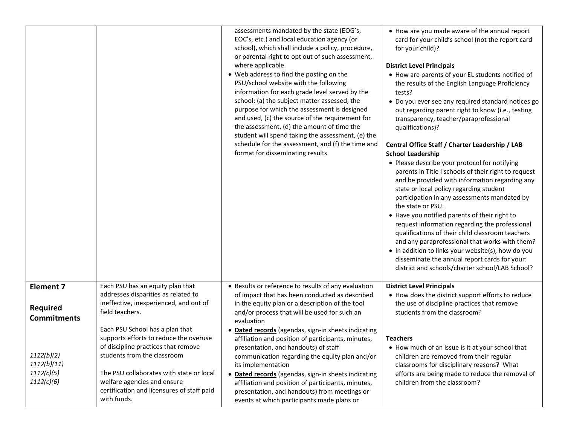|                                                       |                                                                                                                                                                                                                                                                                         | assessments mandated by the state (EOG's,<br>EOC's, etc.) and local education agency (or<br>school), which shall include a policy, procedure,<br>or parental right to opt out of such assessment,<br>where applicable.<br>• Web address to find the posting on the<br>PSU/school website with the following<br>information for each grade level served by the<br>school: (a) the subject matter assessed, the<br>purpose for which the assessment is designed<br>and used, (c) the source of the requirement for<br>the assessment, (d) the amount of time the<br>student will spend taking the assessment, (e) the<br>schedule for the assessment, and (f) the time and<br>format for disseminating results | • How are you made aware of the annual report<br>card for your child's school (not the report card<br>for your child)?<br><b>District Level Principals</b><br>• How are parents of your EL students notified of<br>the results of the English Language Proficiency<br>tests?<br>• Do you ever see any required standard notices go<br>out regarding parent right to know (i.e., testing<br>transparency, teacher/paraprofessional<br>qualifications)?<br>Central Office Staff / Charter Leadership / LAB<br><b>School Leadership</b><br>• Please describe your protocol for notifying<br>parents in Title I schools of their right to request<br>and be provided with information regarding any<br>state or local policy regarding student<br>participation in any assessments mandated by<br>the state or PSU.<br>• Have you notified parents of their right to<br>request information regarding the professional<br>qualifications of their child classroom teachers<br>and any paraprofessional that works with them?<br>. In addition to links your website(s), how do you<br>disseminate the annual report cards for your:<br>district and schools/charter school/LAB School? |
|-------------------------------------------------------|-----------------------------------------------------------------------------------------------------------------------------------------------------------------------------------------------------------------------------------------------------------------------------------------|--------------------------------------------------------------------------------------------------------------------------------------------------------------------------------------------------------------------------------------------------------------------------------------------------------------------------------------------------------------------------------------------------------------------------------------------------------------------------------------------------------------------------------------------------------------------------------------------------------------------------------------------------------------------------------------------------------------|------------------------------------------------------------------------------------------------------------------------------------------------------------------------------------------------------------------------------------------------------------------------------------------------------------------------------------------------------------------------------------------------------------------------------------------------------------------------------------------------------------------------------------------------------------------------------------------------------------------------------------------------------------------------------------------------------------------------------------------------------------------------------------------------------------------------------------------------------------------------------------------------------------------------------------------------------------------------------------------------------------------------------------------------------------------------------------------------------------------------------------------------------------------------------------|
| <b>Element 7</b>                                      | Each PSU has an equity plan that<br>addresses disparities as related to                                                                                                                                                                                                                 | • Results or reference to results of any evaluation<br>of impact that has been conducted as described                                                                                                                                                                                                                                                                                                                                                                                                                                                                                                                                                                                                        | <b>District Level Principals</b><br>• How does the district support efforts to reduce                                                                                                                                                                                                                                                                                                                                                                                                                                                                                                                                                                                                                                                                                                                                                                                                                                                                                                                                                                                                                                                                                              |
| <b>Required</b><br><b>Commitments</b>                 | ineffective, inexperienced, and out of<br>field teachers.                                                                                                                                                                                                                               | in the equity plan or a description of the tool<br>and/or process that will be used for such an<br>evaluation                                                                                                                                                                                                                                                                                                                                                                                                                                                                                                                                                                                                | the use of discipline practices that remove<br>students from the classroom?                                                                                                                                                                                                                                                                                                                                                                                                                                                                                                                                                                                                                                                                                                                                                                                                                                                                                                                                                                                                                                                                                                        |
| 1112(b)(2)<br>1112(b)(11)<br>1112(c)(5)<br>1112(c)(6) | Each PSU School has a plan that<br>supports efforts to reduce the overuse<br>of discipline practices that remove<br>students from the classroom<br>The PSU collaborates with state or local<br>welfare agencies and ensure<br>certification and licensures of staff paid<br>with funds. | · Dated records (agendas, sign-in sheets indicating<br>affiliation and position of participants, minutes,<br>presentation, and handouts) of staff<br>communication regarding the equity plan and/or<br>its implementation<br>• Dated records (agendas, sign-in sheets indicating<br>affiliation and position of participants, minutes,<br>presentation, and handouts) from meetings or<br>events at which participants made plans or                                                                                                                                                                                                                                                                         | <b>Teachers</b><br>• How much of an issue is it at your school that<br>children are removed from their regular<br>classrooms for disciplinary reasons? What<br>efforts are being made to reduce the removal of<br>children from the classroom?                                                                                                                                                                                                                                                                                                                                                                                                                                                                                                                                                                                                                                                                                                                                                                                                                                                                                                                                     |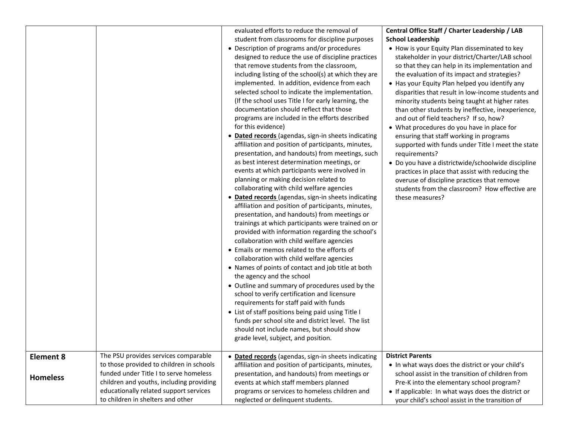|                                     |                                                                                                                                                                                                                                                       | evaluated efforts to reduce the removal of<br>student from classrooms for discipline purposes<br>• Description of programs and/or procedures<br>designed to reduce the use of discipline practices<br>that remove students from the classroom,<br>including listing of the school(s) at which they are<br>implemented. In addition, evidence from each<br>selected school to indicate the implementation.<br>(If the school uses Title I for early learning, the<br>documentation should reflect that those<br>programs are included in the efforts described<br>for this evidence)<br>• Dated records (agendas, sign-in sheets indicating<br>affiliation and position of participants, minutes,<br>presentation, and handouts) from meetings, such<br>as best interest determination meetings, or<br>events at which participants were involved in<br>planning or making decision related to<br>collaborating with child welfare agencies<br>• Dated records (agendas, sign-in sheets indicating<br>affiliation and position of participants, minutes,<br>presentation, and handouts) from meetings or<br>trainings at which participants were trained on or<br>provided with information regarding the school's<br>collaboration with child welfare agencies<br>• Emails or memos related to the efforts of<br>collaboration with child welfare agencies<br>• Names of points of contact and job title at both<br>the agency and the school<br>• Outline and summary of procedures used by the<br>school to verify certification and licensure<br>requirements for staff paid with funds<br>• List of staff positions being paid using Title I<br>funds per school site and district level. The list<br>should not include names, but should show<br>grade level, subject, and position. | Central Office Staff / Charter Leadership / LAB<br><b>School Leadership</b><br>• How is your Equity Plan disseminated to key<br>stakeholder in your district/Charter/LAB school<br>so that they can help in its implementation and<br>the evaluation of its impact and strategies?<br>• Has your Equity Plan helped you identify any<br>disparities that result in low-income students and<br>minority students being taught at higher rates<br>than other students by ineffective, inexperience,<br>and out of field teachers? If so, how?<br>• What procedures do you have in place for<br>ensuring that staff working in programs<br>supported with funds under Title I meet the state<br>requirements?<br>· Do you have a districtwide/schoolwide discipline<br>practices in place that assist with reducing the<br>overuse of discipline practices that remove<br>students from the classroom? How effective are<br>these measures? |
|-------------------------------------|-------------------------------------------------------------------------------------------------------------------------------------------------------------------------------------------------------------------------------------------------------|--------------------------------------------------------------------------------------------------------------------------------------------------------------------------------------------------------------------------------------------------------------------------------------------------------------------------------------------------------------------------------------------------------------------------------------------------------------------------------------------------------------------------------------------------------------------------------------------------------------------------------------------------------------------------------------------------------------------------------------------------------------------------------------------------------------------------------------------------------------------------------------------------------------------------------------------------------------------------------------------------------------------------------------------------------------------------------------------------------------------------------------------------------------------------------------------------------------------------------------------------------------------------------------------------------------------------------------------------------------------------------------------------------------------------------------------------------------------------------------------------------------------------------------------------------------------------------------------------------------------------------------------------------------------------------------------------------------------------------------------------------------------------------------------|------------------------------------------------------------------------------------------------------------------------------------------------------------------------------------------------------------------------------------------------------------------------------------------------------------------------------------------------------------------------------------------------------------------------------------------------------------------------------------------------------------------------------------------------------------------------------------------------------------------------------------------------------------------------------------------------------------------------------------------------------------------------------------------------------------------------------------------------------------------------------------------------------------------------------------------|
| <b>Element 8</b><br><b>Homeless</b> | The PSU provides services comparable<br>to those provided to children in schools<br>funded under Title I to serve homeless<br>children and youths, including providing<br>educationally related support services<br>to children in shelters and other | • Dated records (agendas, sign-in sheets indicating<br>affiliation and position of participants, minutes,<br>presentation, and handouts) from meetings or<br>events at which staff members planned<br>programs or services to homeless children and<br>neglected or delinquent students.                                                                                                                                                                                                                                                                                                                                                                                                                                                                                                                                                                                                                                                                                                                                                                                                                                                                                                                                                                                                                                                                                                                                                                                                                                                                                                                                                                                                                                                                                                   | <b>District Parents</b><br>• In what ways does the district or your child's<br>school assist in the transition of children from<br>Pre-K into the elementary school program?<br>• If applicable: In what ways does the district or<br>your child's school assist in the transition of                                                                                                                                                                                                                                                                                                                                                                                                                                                                                                                                                                                                                                                    |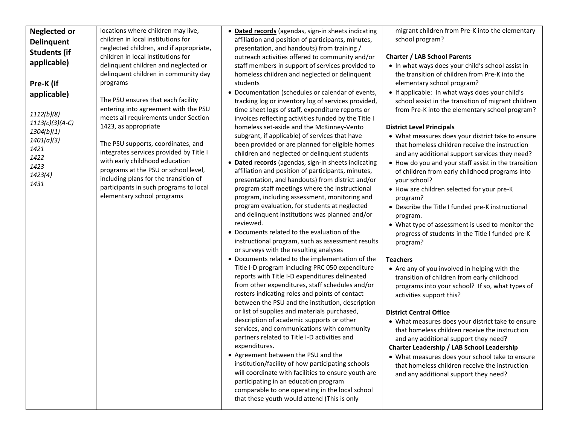| <b>Neglected or</b> | locations where children may live,      | • Dated records (agendas, sign-in sheets indicating  | migrant children from Pre-K into the elementary      |
|---------------------|-----------------------------------------|------------------------------------------------------|------------------------------------------------------|
| <b>Delinquent</b>   | children in local institutions for      | affiliation and position of participants, minutes,   | school program?                                      |
| <b>Students (if</b> | neglected children, and if appropriate, | presentation, and handouts) from training /          |                                                      |
|                     | children in local institutions for      | outreach activities offered to community and/or      | <b>Charter / LAB School Parents</b>                  |
| applicable)         | delinquent children and neglected or    | staff members in support of services provided to     | . In what ways does your child's school assist in    |
|                     | delinquent children in community day    | homeless children and neglected or delinquent        | the transition of children from Pre-K into the       |
| Pre-K (if           | programs                                | students                                             | elementary school program?                           |
| applicable)         |                                         | • Documentation (schedules or calendar of events,    | • If applicable: In what ways does your child's      |
|                     | The PSU ensures that each facility      | tracking log or inventory log of services provided,  | school assist in the transition of migrant children  |
|                     | entering into agreement with the PSU    | time sheet logs of staff, expenditure reports or     | from Pre-K into the elementary school program?       |
| 1112(b)(8)          | meets all requirements under Section    | invoices reflecting activities funded by the Title I |                                                      |
| $1113(c)(3)(A-C)$   | 1423, as appropriate                    | homeless set-aside and the McKinney-Vento            | <b>District Level Principals</b>                     |
| 1304(b)(1)          |                                         | subgrant, if applicable) of services that have       | • What measures does your district take to ensure    |
| 1401(a)(3)          | The PSU supports, coordinates, and      | been provided or are planned for eligible homes      | that homeless children receive the instruction       |
| 1421                | integrates services provided by Title I | children and neglected or delinquent students        | and any additional support services they need?       |
| 1422<br>1423        | with early childhood education          | • Dated records (agendas, sign-in sheets indicating  | • How do you and your staff assist in the transition |
| 1423(4)             | programs at the PSU or school level,    | affiliation and position of participants, minutes,   | of children from early childhood programs into       |
| 1431                | including plans for the transition of   | presentation, and handouts) from district and/or     | your school?                                         |
|                     | participants in such programs to local  | program staff meetings where the instructional       | • How are children selected for your pre-K           |
|                     | elementary school programs              | program, including assessment, monitoring and        | program?                                             |
|                     |                                         | program evaluation, for students at neglected        | • Describe the Title I funded pre-K instructional    |
|                     |                                         | and delinquent institutions was planned and/or       | program.                                             |
|                     |                                         | reviewed.                                            | • What type of assessment is used to monitor the     |
|                     |                                         | • Documents related to the evaluation of the         | progress of students in the Title I funded pre-K     |
|                     |                                         | instructional program, such as assessment results    | program?                                             |
|                     |                                         | or surveys with the resulting analyses               |                                                      |
|                     |                                         | • Documents related to the implementation of the     | <b>Teachers</b>                                      |
|                     |                                         | Title I-D program including PRC 050 expenditure      | • Are any of you involved in helping with the        |
|                     |                                         | reports with Title I-D expenditures delineated       | transition of children from early childhood          |
|                     |                                         | from other expenditures, staff schedules and/or      | programs into your school? If so, what types of      |
|                     |                                         | rosters indicating roles and points of contact       | activities support this?                             |
|                     |                                         | between the PSU and the institution, description     |                                                      |
|                     |                                         | or list of supplies and materials purchased,         | <b>District Central Office</b>                       |
|                     |                                         | description of academic supports or other            | • What measures does your district take to ensure    |
|                     |                                         | services, and communications with community          | that homeless children receive the instruction       |
|                     |                                         | partners related to Title I-D activities and         | and any additional support they need?                |
|                     |                                         | expenditures.                                        | Charter Leadership / LAB School Leadership           |
|                     |                                         | • Agreement between the PSU and the                  | • What measures does your school take to ensure      |
|                     |                                         | institution/facility of how participating schools    | that homeless children receive the instruction       |
|                     |                                         | will coordinate with facilities to ensure youth are  | and any additional support they need?                |
|                     |                                         | participating in an education program                |                                                      |
|                     |                                         | comparable to one operating in the local school      |                                                      |
|                     |                                         | that these youth would attend (This is only          |                                                      |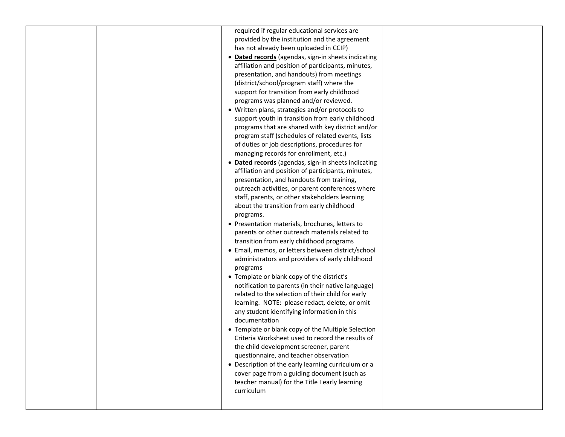| required if regular educational services are        |  |
|-----------------------------------------------------|--|
| provided by the institution and the agreement       |  |
| has not already been uploaded in CCIP)              |  |
| • Dated records (agendas, sign-in sheets indicating |  |
| affiliation and position of participants, minutes,  |  |
| presentation, and handouts) from meetings           |  |
| (district/school/program staff) where the           |  |
| support for transition from early childhood         |  |
| programs was planned and/or reviewed.               |  |
| • Written plans, strategies and/or protocols to     |  |
| support youth in transition from early childhood    |  |
| programs that are shared with key district and/or   |  |
| program staff (schedules of related events, lists   |  |
| of duties or job descriptions, procedures for       |  |
| managing records for enrollment, etc.)              |  |
| • Dated records (agendas, sign-in sheets indicating |  |
| affiliation and position of participants, minutes,  |  |
| presentation, and handouts from training,           |  |
| outreach activities, or parent conferences where    |  |
| staff, parents, or other stakeholders learning      |  |
| about the transition from early childhood           |  |
|                                                     |  |
| programs.                                           |  |
| • Presentation materials, brochures, letters to     |  |
| parents or other outreach materials related to      |  |
| transition from early childhood programs            |  |
| • Email, memos, or letters between district/school  |  |
| administrators and providers of early childhood     |  |
| programs                                            |  |
| • Template or blank copy of the district's          |  |
| notification to parents (in their native language)  |  |
| related to the selection of their child for early   |  |
| learning. NOTE: please redact, delete, or omit      |  |
| any student identifying information in this         |  |
| documentation                                       |  |
| • Template or blank copy of the Multiple Selection  |  |
| Criteria Worksheet used to record the results of    |  |
| the child development screener, parent              |  |
| questionnaire, and teacher observation              |  |
| • Description of the early learning curriculum or a |  |
| cover page from a guiding document (such as         |  |
| teacher manual) for the Title I early learning      |  |
| curriculum                                          |  |
|                                                     |  |
|                                                     |  |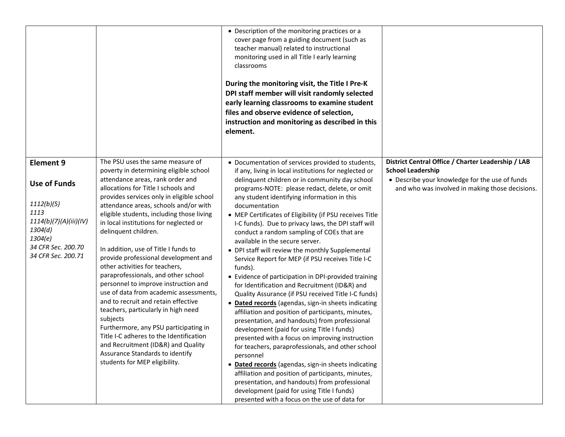|                                                                                                                                                           |                                                                                                                                                                                                                                                                                                                                                                                                                                                                                                                                                                                                                                                                                                                                                                                                                                                                                               | • Description of the monitoring practices or a<br>cover page from a guiding document (such as<br>teacher manual) related to instructional<br>monitoring used in all Title I early learning<br>classrooms<br>During the monitoring visit, the Title I Pre-K<br>DPI staff member will visit randomly selected<br>early learning classrooms to examine student<br>files and observe evidence of selection,<br>instruction and monitoring as described in this<br>element.                                                                                                                                                                                                                                                                                                                                                                                                                                                                                                                                                                                                                                                                                                                                                                                                                                                                                              |                                                                                                                                                                                     |
|-----------------------------------------------------------------------------------------------------------------------------------------------------------|-----------------------------------------------------------------------------------------------------------------------------------------------------------------------------------------------------------------------------------------------------------------------------------------------------------------------------------------------------------------------------------------------------------------------------------------------------------------------------------------------------------------------------------------------------------------------------------------------------------------------------------------------------------------------------------------------------------------------------------------------------------------------------------------------------------------------------------------------------------------------------------------------|---------------------------------------------------------------------------------------------------------------------------------------------------------------------------------------------------------------------------------------------------------------------------------------------------------------------------------------------------------------------------------------------------------------------------------------------------------------------------------------------------------------------------------------------------------------------------------------------------------------------------------------------------------------------------------------------------------------------------------------------------------------------------------------------------------------------------------------------------------------------------------------------------------------------------------------------------------------------------------------------------------------------------------------------------------------------------------------------------------------------------------------------------------------------------------------------------------------------------------------------------------------------------------------------------------------------------------------------------------------------|-------------------------------------------------------------------------------------------------------------------------------------------------------------------------------------|
| <b>Element 9</b><br><b>Use of Funds</b><br>1112(b)(5)<br>1113<br>1114(b)(7)(A)(iii)(IV)<br>1304(d)<br>1304(e)<br>34 CFR Sec. 200.70<br>34 CFR Sec. 200.71 | The PSU uses the same measure of<br>poverty in determining eligible school<br>attendance areas, rank order and<br>allocations for Title I schools and<br>provides services only in eligible school<br>attendance areas, schools and/or with<br>eligible students, including those living<br>in local institutions for neglected or<br>delinquent children.<br>In addition, use of Title I funds to<br>provide professional development and<br>other activities for teachers,<br>paraprofessionals, and other school<br>personnel to improve instruction and<br>use of data from academic assessments,<br>and to recruit and retain effective<br>teachers, particularly in high need<br>subjects<br>Furthermore, any PSU participating in<br>Title I-C adheres to the Identification<br>and Recruitment (ID&R) and Quality<br>Assurance Standards to identify<br>students for MEP eligibility. | • Documentation of services provided to students,<br>if any, living in local institutions for neglected or<br>delinquent children or in community day school<br>programs-NOTE: please redact, delete, or omit<br>any student identifying information in this<br>documentation<br>• MEP Certificates of Eligibility (if PSU receives Title<br>I-C funds). Due to privacy laws, the DPI staff will<br>conduct a random sampling of COEs that are<br>available in the secure server.<br>• DPI staff will review the monthly Supplemental<br>Service Report for MEP (if PSU receives Title I-C<br>funds).<br>• Evidence of participation in DPI-provided training<br>for Identification and Recruitment (ID&R) and<br>Quality Assurance (if PSU received Title I-C funds)<br>• Dated records (agendas, sign-in sheets indicating<br>affiliation and position of participants, minutes,<br>presentation, and handouts) from professional<br>development (paid for using Title I funds)<br>presented with a focus on improving instruction<br>for teachers, paraprofessionals, and other school<br>personnel<br>• Dated records (agendas, sign-in sheets indicating<br>affiliation and position of participants, minutes,<br>presentation, and handouts) from professional<br>development (paid for using Title I funds)<br>presented with a focus on the use of data for | District Central Office / Charter Leadership / LAB<br><b>School Leadership</b><br>• Describe your knowledge for the use of funds<br>and who was involved in making those decisions. |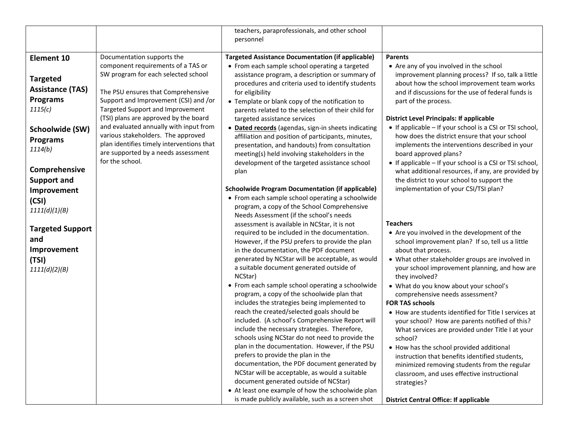|                                                                         |                                                                                                                                                                                     | teachers, paraprofessionals, and other school<br>personnel                                                                                                                                                                                                                                                                                                                                                                                                                                                                                                                                                                                                                                                                                                                                                                                                                                                                                                                                                                                           |                                                                                                                                                                                                                                                                                                                                                                                                                                                                                                                                                                                                                                                                                                                                                                                                                |
|-------------------------------------------------------------------------|-------------------------------------------------------------------------------------------------------------------------------------------------------------------------------------|------------------------------------------------------------------------------------------------------------------------------------------------------------------------------------------------------------------------------------------------------------------------------------------------------------------------------------------------------------------------------------------------------------------------------------------------------------------------------------------------------------------------------------------------------------------------------------------------------------------------------------------------------------------------------------------------------------------------------------------------------------------------------------------------------------------------------------------------------------------------------------------------------------------------------------------------------------------------------------------------------------------------------------------------------|----------------------------------------------------------------------------------------------------------------------------------------------------------------------------------------------------------------------------------------------------------------------------------------------------------------------------------------------------------------------------------------------------------------------------------------------------------------------------------------------------------------------------------------------------------------------------------------------------------------------------------------------------------------------------------------------------------------------------------------------------------------------------------------------------------------|
|                                                                         |                                                                                                                                                                                     |                                                                                                                                                                                                                                                                                                                                                                                                                                                                                                                                                                                                                                                                                                                                                                                                                                                                                                                                                                                                                                                      |                                                                                                                                                                                                                                                                                                                                                                                                                                                                                                                                                                                                                                                                                                                                                                                                                |
| <b>Element 10</b><br><b>Targeted</b>                                    | Documentation supports the<br>component requirements of a TAS or<br>SW program for each selected school                                                                             | <b>Targeted Assistance Documentation (if applicable)</b><br>• From each sample school operating a targeted<br>assistance program, a description or summary of<br>procedures and criteria used to identify students                                                                                                                                                                                                                                                                                                                                                                                                                                                                                                                                                                                                                                                                                                                                                                                                                                   | <b>Parents</b><br>• Are any of you involved in the school<br>improvement planning process? If so, talk a little<br>about how the school improvement team works                                                                                                                                                                                                                                                                                                                                                                                                                                                                                                                                                                                                                                                 |
| <b>Assistance (TAS)</b><br><b>Programs</b><br>1115(c)                   | The PSU ensures that Comprehensive<br>Support and Improvement (CSI) and /or<br>Targeted Support and Improvement<br>(TSI) plans are approved by the board                            | for eligibility<br>• Template or blank copy of the notification to<br>parents related to the selection of their child for<br>targeted assistance services                                                                                                                                                                                                                                                                                                                                                                                                                                                                                                                                                                                                                                                                                                                                                                                                                                                                                            | and if discussions for the use of federal funds is<br>part of the process.<br><b>District Level Principals: If applicable</b>                                                                                                                                                                                                                                                                                                                                                                                                                                                                                                                                                                                                                                                                                  |
| Schoolwide (SW)<br><b>Programs</b><br>1114(b)                           | and evaluated annually with input from<br>various stakeholders. The approved<br>plan identifies timely interventions that<br>are supported by a needs assessment<br>for the school. | • Dated records (agendas, sign-in sheets indicating<br>affiliation and position of participants, minutes,<br>presentation, and handouts) from consultation<br>meeting(s) held involving stakeholders in the<br>development of the targeted assistance school                                                                                                                                                                                                                                                                                                                                                                                                                                                                                                                                                                                                                                                                                                                                                                                         | • If applicable – If your school is a CSI or TSI school,<br>how does the district ensure that your school<br>implements the interventions described in your<br>board approved plans?<br>• If applicable – If your school is a CSI or TSI school,                                                                                                                                                                                                                                                                                                                                                                                                                                                                                                                                                               |
| Comprehensive<br><b>Support and</b>                                     |                                                                                                                                                                                     | plan                                                                                                                                                                                                                                                                                                                                                                                                                                                                                                                                                                                                                                                                                                                                                                                                                                                                                                                                                                                                                                                 | what additional resources, if any, are provided by<br>the district to your school to support the                                                                                                                                                                                                                                                                                                                                                                                                                                                                                                                                                                                                                                                                                                               |
| Improvement<br>(CSI)<br>1111(d)(1)(B)                                   |                                                                                                                                                                                     | <b>Schoolwide Program Documentation (if applicable)</b><br>• From each sample school operating a schoolwide<br>program, a copy of the School Comprehensive                                                                                                                                                                                                                                                                                                                                                                                                                                                                                                                                                                                                                                                                                                                                                                                                                                                                                           | implementation of your CSI/TSI plan?                                                                                                                                                                                                                                                                                                                                                                                                                                                                                                                                                                                                                                                                                                                                                                           |
| <b>Targeted Support</b><br>and<br>Improvement<br>(TSI)<br>1111(d)(2)(B) |                                                                                                                                                                                     | Needs Assessment (if the school's needs<br>assessment is available in NCStar, it is not<br>required to be included in the documentation.<br>However, if the PSU prefers to provide the plan<br>in the documentation, the PDF document<br>generated by NCStar will be acceptable, as would<br>a suitable document generated outside of<br>NCStar)<br>• From each sample school operating a schoolwide<br>program, a copy of the schoolwide plan that<br>includes the strategies being implemented to<br>reach the created/selected goals should be<br>included. (A school's Comprehensive Report will<br>include the necessary strategies. Therefore,<br>schools using NCStar do not need to provide the<br>plan in the documentation. However, if the PSU<br>prefers to provide the plan in the<br>documentation, the PDF document generated by<br>NCStar will be acceptable, as would a suitable<br>document generated outside of NCStar)<br>• At least one example of how the schoolwide plan<br>is made publicly available, such as a screen shot | <b>Teachers</b><br>• Are you involved in the development of the<br>school improvement plan? If so, tell us a little<br>about that process.<br>• What other stakeholder groups are involved in<br>your school improvement planning, and how are<br>they involved?<br>• What do you know about your school's<br>comprehensive needs assessment?<br><b>FOR TAS schools</b><br>• How are students identified for Title I services at<br>your school? How are parents notified of this?<br>What services are provided under Title I at your<br>school?<br>• How has the school provided additional<br>instruction that benefits identified students,<br>minimized removing students from the regular<br>classroom, and uses effective instructional<br>strategies?<br><b>District Central Office: If applicable</b> |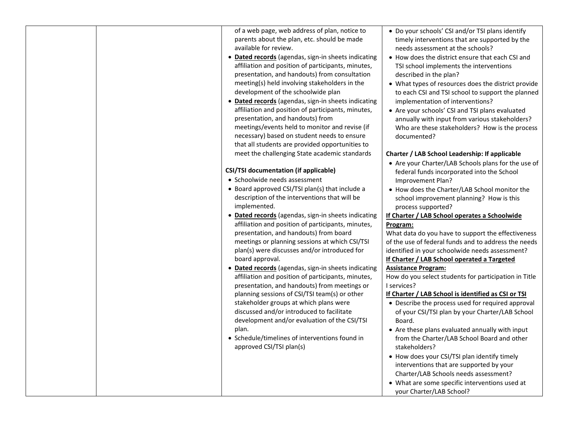| of a web page, web address of plan, notice to<br>parents about the plan, etc. should be made<br>available for review.<br>• Dated records (agendas, sign-in sheets indicating<br>affiliation and position of participants, minutes,<br>presentation, and handouts) from consultation<br>meeting(s) held involving stakeholders in the<br>development of the schoolwide plan<br>• Dated records (agendas, sign-in sheets indicating<br>affiliation and position of participants, minutes,<br>presentation, and handouts) from<br>meetings/events held to monitor and revise (if<br>necessary) based on student needs to ensure<br>that all students are provided opportunities to<br>meet the challenging State academic standards | • Do your schools' CSI and/or TSI plans identify<br>timely interventions that are supported by the<br>needs assessment at the schools?<br>• How does the district ensure that each CSI and<br>TSI school implements the interventions<br>described in the plan?<br>• What types of resources does the district provide<br>to each CSI and TSI school to support the planned<br>implementation of interventions?<br>• Are your schools' CSI and TSI plans evaluated<br>annually with input from various stakeholders?<br>Who are these stakeholders? How is the process<br>documented?<br>Charter / LAB School Leadership: If applicable<br>• Are your Charter/LAB Schools plans for the use of |
|----------------------------------------------------------------------------------------------------------------------------------------------------------------------------------------------------------------------------------------------------------------------------------------------------------------------------------------------------------------------------------------------------------------------------------------------------------------------------------------------------------------------------------------------------------------------------------------------------------------------------------------------------------------------------------------------------------------------------------|------------------------------------------------------------------------------------------------------------------------------------------------------------------------------------------------------------------------------------------------------------------------------------------------------------------------------------------------------------------------------------------------------------------------------------------------------------------------------------------------------------------------------------------------------------------------------------------------------------------------------------------------------------------------------------------------|
| <b>CSI/TSI documentation (if applicable)</b>                                                                                                                                                                                                                                                                                                                                                                                                                                                                                                                                                                                                                                                                                     | federal funds incorporated into the School                                                                                                                                                                                                                                                                                                                                                                                                                                                                                                                                                                                                                                                     |
| • Schoolwide needs assessment                                                                                                                                                                                                                                                                                                                                                                                                                                                                                                                                                                                                                                                                                                    | Improvement Plan?                                                                                                                                                                                                                                                                                                                                                                                                                                                                                                                                                                                                                                                                              |
| • Board approved CSI/TSI plan(s) that include a<br>description of the interventions that will be<br>implemented.                                                                                                                                                                                                                                                                                                                                                                                                                                                                                                                                                                                                                 | • How does the Charter/LAB School monitor the<br>school improvement planning? How is this<br>process supported?                                                                                                                                                                                                                                                                                                                                                                                                                                                                                                                                                                                |
| • Dated records (agendas, sign-in sheets indicating                                                                                                                                                                                                                                                                                                                                                                                                                                                                                                                                                                                                                                                                              | If Charter / LAB School operates a Schoolwide                                                                                                                                                                                                                                                                                                                                                                                                                                                                                                                                                                                                                                                  |
| affiliation and position of participants, minutes,                                                                                                                                                                                                                                                                                                                                                                                                                                                                                                                                                                                                                                                                               | Program:                                                                                                                                                                                                                                                                                                                                                                                                                                                                                                                                                                                                                                                                                       |
| presentation, and handouts) from board                                                                                                                                                                                                                                                                                                                                                                                                                                                                                                                                                                                                                                                                                           | What data do you have to support the effectiveness                                                                                                                                                                                                                                                                                                                                                                                                                                                                                                                                                                                                                                             |
| meetings or planning sessions at which CSI/TSI                                                                                                                                                                                                                                                                                                                                                                                                                                                                                                                                                                                                                                                                                   | of the use of federal funds and to address the needs                                                                                                                                                                                                                                                                                                                                                                                                                                                                                                                                                                                                                                           |
| plan(s) were discusses and/or introduced for<br>board approval.                                                                                                                                                                                                                                                                                                                                                                                                                                                                                                                                                                                                                                                                  | identified in your schoolwide needs assessment?<br>If Charter / LAB School operated a Targeted                                                                                                                                                                                                                                                                                                                                                                                                                                                                                                                                                                                                 |
| · Dated records (agendas, sign-in sheets indicating                                                                                                                                                                                                                                                                                                                                                                                                                                                                                                                                                                                                                                                                              | <b>Assistance Program:</b>                                                                                                                                                                                                                                                                                                                                                                                                                                                                                                                                                                                                                                                                     |
| affiliation and position of participants, minutes,                                                                                                                                                                                                                                                                                                                                                                                                                                                                                                                                                                                                                                                                               | How do you select students for participation in Title                                                                                                                                                                                                                                                                                                                                                                                                                                                                                                                                                                                                                                          |
| presentation, and handouts) from meetings or                                                                                                                                                                                                                                                                                                                                                                                                                                                                                                                                                                                                                                                                                     | I services?                                                                                                                                                                                                                                                                                                                                                                                                                                                                                                                                                                                                                                                                                    |
| planning sessions of CSI/TSI team(s) or other                                                                                                                                                                                                                                                                                                                                                                                                                                                                                                                                                                                                                                                                                    | If Charter / LAB School is identified as CSI or TSI                                                                                                                                                                                                                                                                                                                                                                                                                                                                                                                                                                                                                                            |
| stakeholder groups at which plans were<br>discussed and/or introduced to facilitate<br>development and/or evaluation of the CSI/TSI                                                                                                                                                                                                                                                                                                                                                                                                                                                                                                                                                                                              | • Describe the process used for required approval<br>of your CSI/TSI plan by your Charter/LAB School<br>Board.                                                                                                                                                                                                                                                                                                                                                                                                                                                                                                                                                                                 |
| plan.<br>• Schedule/timelines of interventions found in<br>approved CSI/TSI plan(s)                                                                                                                                                                                                                                                                                                                                                                                                                                                                                                                                                                                                                                              | • Are these plans evaluated annually with input<br>from the Charter/LAB School Board and other<br>stakeholders?                                                                                                                                                                                                                                                                                                                                                                                                                                                                                                                                                                                |
|                                                                                                                                                                                                                                                                                                                                                                                                                                                                                                                                                                                                                                                                                                                                  | • How does your CSI/TSI plan identify timely                                                                                                                                                                                                                                                                                                                                                                                                                                                                                                                                                                                                                                                   |
|                                                                                                                                                                                                                                                                                                                                                                                                                                                                                                                                                                                                                                                                                                                                  | interventions that are supported by your                                                                                                                                                                                                                                                                                                                                                                                                                                                                                                                                                                                                                                                       |
|                                                                                                                                                                                                                                                                                                                                                                                                                                                                                                                                                                                                                                                                                                                                  | Charter/LAB Schools needs assessment?                                                                                                                                                                                                                                                                                                                                                                                                                                                                                                                                                                                                                                                          |
|                                                                                                                                                                                                                                                                                                                                                                                                                                                                                                                                                                                                                                                                                                                                  | • What are some specific interventions used at<br>your Charter/LAB School?                                                                                                                                                                                                                                                                                                                                                                                                                                                                                                                                                                                                                     |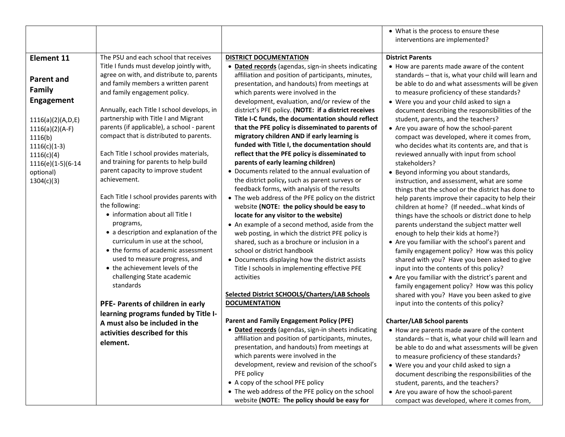|                                                                                                                                                                                                     |                                                                                                                                                                                                                                                                                                                                                                                                                                                                                                                                                                                                                                                                                                                                                                                                                                                                                    |                                                                                                                                                                                                                                                                                                                                                                                                                                                                                                                                                                                                                                                                                                                                                                                                                                                                                                                                                                                                                                                                                                                                                                                                                                                                                                             | • What is the process to ensure these<br>interventions are implemented?                                                                                                                                                                                                                                                                                                                                                                                                                                                                                                                                                                                                                                                                                                                                                                                                                                                                                                                                                                                                                                                                                                                                                                                                                                                          |
|-----------------------------------------------------------------------------------------------------------------------------------------------------------------------------------------------------|------------------------------------------------------------------------------------------------------------------------------------------------------------------------------------------------------------------------------------------------------------------------------------------------------------------------------------------------------------------------------------------------------------------------------------------------------------------------------------------------------------------------------------------------------------------------------------------------------------------------------------------------------------------------------------------------------------------------------------------------------------------------------------------------------------------------------------------------------------------------------------|-------------------------------------------------------------------------------------------------------------------------------------------------------------------------------------------------------------------------------------------------------------------------------------------------------------------------------------------------------------------------------------------------------------------------------------------------------------------------------------------------------------------------------------------------------------------------------------------------------------------------------------------------------------------------------------------------------------------------------------------------------------------------------------------------------------------------------------------------------------------------------------------------------------------------------------------------------------------------------------------------------------------------------------------------------------------------------------------------------------------------------------------------------------------------------------------------------------------------------------------------------------------------------------------------------------|----------------------------------------------------------------------------------------------------------------------------------------------------------------------------------------------------------------------------------------------------------------------------------------------------------------------------------------------------------------------------------------------------------------------------------------------------------------------------------------------------------------------------------------------------------------------------------------------------------------------------------------------------------------------------------------------------------------------------------------------------------------------------------------------------------------------------------------------------------------------------------------------------------------------------------------------------------------------------------------------------------------------------------------------------------------------------------------------------------------------------------------------------------------------------------------------------------------------------------------------------------------------------------------------------------------------------------|
| <b>Element 11</b><br>Parent and<br><b>Family</b><br>Engagement<br>1116(a)(2)(A,D,E)<br>$1116(a)(2)(A-F)$<br>1116(b)<br>$1116(c)(1-3)$<br>1116(c)(4)<br>1116(e)(1-5)(6-14<br>optional)<br>1304(c)(3) | The PSU and each school that receives<br>Title I funds must develop jointly with,<br>agree on with, and distribute to, parents<br>and family members a written parent<br>and family engagement policy.<br>Annually, each Title I school develops, in<br>partnership with Title I and Migrant<br>parents (if applicable), a school - parent<br>compact that is distributed to parents.<br>Each Title I school provides materials,<br>and training for parents to help build<br>parent capacity to improve student<br>achievement.<br>Each Title I school provides parents with<br>the following:<br>• information about all Title I<br>programs,<br>• a description and explanation of the<br>curriculum in use at the school,<br>• the forms of academic assessment<br>used to measure progress, and<br>• the achievement levels of the<br>challenging State academic<br>standards | <b>DISTRICT DOCUMENTATION</b><br>• Dated records (agendas, sign-in sheets indicating<br>affiliation and position of participants, minutes,<br>presentation, and handouts) from meetings at<br>which parents were involved in the<br>development, evaluation, and/or review of the<br>district's PFE policy. (NOTE: if a district receives<br>Title I-C funds, the documentation should reflect<br>that the PFE policy is disseminated to parents of<br>migratory children AND if early learning is<br>funded with Title I, the documentation should<br>reflect that the PFE policy is disseminated to<br>parents of early learning children)<br>• Documents related to the annual evaluation of<br>the district policy, such as parent surveys or<br>feedback forms, with analysis of the results<br>• The web address of the PFE policy on the district<br>website (NOTE: the policy should be easy to<br>locate for any visitor to the website)<br>• An example of a second method, aside from the<br>web posting, in which the district PFE policy is<br>shared, such as a brochure or inclusion in a<br>school or district handbook<br>• Documents displaying how the district assists<br>Title I schools in implementing effective PFE<br>activities<br>Selected District SCHOOLS/Charters/LAB Schools | <b>District Parents</b><br>• How are parents made aware of the content<br>standards - that is, what your child will learn and<br>be able to do and what assessments will be given<br>to measure proficiency of these standards?<br>• Were you and your child asked to sign a<br>document describing the responsibilities of the<br>student, parents, and the teachers?<br>• Are you aware of how the school-parent<br>compact was developed, where it comes from,<br>who decides what its contents are, and that is<br>reviewed annually with input from school<br>stakeholders?<br>• Beyond informing you about standards,<br>instruction, and assessment, what are some<br>things that the school or the district has done to<br>help parents improve their capacity to help their<br>children at home? (If needed what kinds of<br>things have the schools or district done to help<br>parents understand the subject matter well<br>enough to help their kids at home?)<br>• Are you familiar with the school's parent and<br>family engagement policy? How was this policy<br>shared with you? Have you been asked to give<br>input into the contents of this policy?<br>• Are you familiar with the district's parent and<br>family engagement policy? How was this policy<br>shared with you? Have you been asked to give |
|                                                                                                                                                                                                     | PFE- Parents of children in early<br>learning programs funded by Title I-                                                                                                                                                                                                                                                                                                                                                                                                                                                                                                                                                                                                                                                                                                                                                                                                          | <b>DOCUMENTATION</b>                                                                                                                                                                                                                                                                                                                                                                                                                                                                                                                                                                                                                                                                                                                                                                                                                                                                                                                                                                                                                                                                                                                                                                                                                                                                                        | input into the contents of this policy?                                                                                                                                                                                                                                                                                                                                                                                                                                                                                                                                                                                                                                                                                                                                                                                                                                                                                                                                                                                                                                                                                                                                                                                                                                                                                          |
|                                                                                                                                                                                                     | A must also be included in the<br>activities described for this<br>element.                                                                                                                                                                                                                                                                                                                                                                                                                                                                                                                                                                                                                                                                                                                                                                                                        | <b>Parent and Family Engagement Policy (PFE)</b><br>· Dated records (agendas, sign-in sheets indicating<br>affiliation and position of participants, minutes,<br>presentation, and handouts) from meetings at<br>which parents were involved in the<br>development, review and revision of the school's<br>PFE policy<br>• A copy of the school PFE policy<br>• The web address of the PFE policy on the school<br>website (NOTE: The policy should be easy for                                                                                                                                                                                                                                                                                                                                                                                                                                                                                                                                                                                                                                                                                                                                                                                                                                             | <b>Charter/LAB School parents</b><br>• How are parents made aware of the content<br>standards - that is, what your child will learn and<br>be able to do and what assessments will be given<br>to measure proficiency of these standards?<br>• Were you and your child asked to sign a<br>document describing the responsibilities of the<br>student, parents, and the teachers?<br>• Are you aware of how the school-parent<br>compact was developed, where it comes from,                                                                                                                                                                                                                                                                                                                                                                                                                                                                                                                                                                                                                                                                                                                                                                                                                                                      |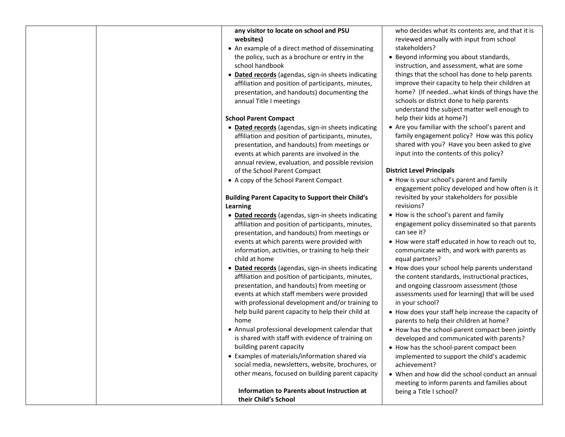| any visitor to locate on school and PSU<br>websites)<br>• An example of a direct method of disseminating<br>the policy, such as a brochure or entry in the<br>school handbook<br>· Dated records (agendas, sign-in sheets indicating<br>affiliation and position of participants, minutes,<br>presentation, and handouts) documenting the<br>annual Title I meetings<br><b>School Parent Compact</b><br>· Dated records (agendas, sign-in sheets indicating<br>affiliation and position of participants, minutes, | who decides what its contents are, and that it is<br>reviewed annually with input from school<br>stakeholders?<br>• Beyond informing you about standards,<br>instruction, and assessment, what are some<br>things that the school has done to help parents<br>improve their capacity to help their children at<br>home? (If neededwhat kinds of things have the<br>schools or district done to help parents<br>understand the subject matter well enough to<br>help their kids at home?)<br>• Are you familiar with the school's parent and<br>family engagement policy? How was this policy |
|-------------------------------------------------------------------------------------------------------------------------------------------------------------------------------------------------------------------------------------------------------------------------------------------------------------------------------------------------------------------------------------------------------------------------------------------------------------------------------------------------------------------|----------------------------------------------------------------------------------------------------------------------------------------------------------------------------------------------------------------------------------------------------------------------------------------------------------------------------------------------------------------------------------------------------------------------------------------------------------------------------------------------------------------------------------------------------------------------------------------------|
| presentation, and handouts) from meetings or                                                                                                                                                                                                                                                                                                                                                                                                                                                                      | shared with you? Have you been asked to give<br>input into the contents of this policy?                                                                                                                                                                                                                                                                                                                                                                                                                                                                                                      |
| events at which parents are involved in the<br>annual review, evaluation, and possible revision                                                                                                                                                                                                                                                                                                                                                                                                                   |                                                                                                                                                                                                                                                                                                                                                                                                                                                                                                                                                                                              |
| of the School Parent Compact                                                                                                                                                                                                                                                                                                                                                                                                                                                                                      | <b>District Level Principals</b>                                                                                                                                                                                                                                                                                                                                                                                                                                                                                                                                                             |
| • A copy of the School Parent Compact                                                                                                                                                                                                                                                                                                                                                                                                                                                                             | • How is your school's parent and family<br>engagement policy developed and how often is it                                                                                                                                                                                                                                                                                                                                                                                                                                                                                                  |
| <b>Building Parent Capacity to Support their Child's</b>                                                                                                                                                                                                                                                                                                                                                                                                                                                          | revisited by your stakeholders for possible                                                                                                                                                                                                                                                                                                                                                                                                                                                                                                                                                  |
| Learning                                                                                                                                                                                                                                                                                                                                                                                                                                                                                                          | revisions?                                                                                                                                                                                                                                                                                                                                                                                                                                                                                                                                                                                   |
| • Dated records (agendas, sign-in sheets indicating<br>affiliation and position of participants, minutes,<br>presentation, and handouts) from meetings or                                                                                                                                                                                                                                                                                                                                                         | • How is the school's parent and family<br>engagement policy disseminated so that parents<br>can see it?                                                                                                                                                                                                                                                                                                                                                                                                                                                                                     |
| events at which parents were provided with<br>information, activities, or training to help their<br>child at home                                                                                                                                                                                                                                                                                                                                                                                                 | • How were staff educated in how to reach out to,<br>communicate with, and work with parents as<br>equal partners?                                                                                                                                                                                                                                                                                                                                                                                                                                                                           |
| • Dated records (agendas, sign-in sheets indicating<br>affiliation and position of participants, minutes,<br>presentation, and handouts) from meeting or<br>events at which staff members were provided<br>with professional development and/or training to                                                                                                                                                                                                                                                       | • How does your school help parents understand<br>the content standards, instructional practices,<br>and ongoing classroom assessment (those<br>assessments used for learning) that will be used<br>in your school?                                                                                                                                                                                                                                                                                                                                                                          |
| help build parent capacity to help their child at<br>home                                                                                                                                                                                                                                                                                                                                                                                                                                                         | • How does your staff help increase the capacity of<br>parents to help their children at home?                                                                                                                                                                                                                                                                                                                                                                                                                                                                                               |
| • Annual professional development calendar that<br>is shared with staff with evidence of training on<br>building parent capacity                                                                                                                                                                                                                                                                                                                                                                                  | • How has the school-parent compact been jointly<br>developed and communicated with parents?                                                                                                                                                                                                                                                                                                                                                                                                                                                                                                 |
| • Examples of materials/information shared via                                                                                                                                                                                                                                                                                                                                                                                                                                                                    | • How has the school-parent compact been<br>implemented to support the child's academic                                                                                                                                                                                                                                                                                                                                                                                                                                                                                                      |
| social media, newsletters, website, brochures, or<br>other means, focused on building parent capacity                                                                                                                                                                                                                                                                                                                                                                                                             | achievement?<br>• When and how did the school conduct an annual<br>meeting to inform parents and families about                                                                                                                                                                                                                                                                                                                                                                                                                                                                              |
| Information to Parents about Instruction at<br>their Child's School                                                                                                                                                                                                                                                                                                                                                                                                                                               | being a Title I school?                                                                                                                                                                                                                                                                                                                                                                                                                                                                                                                                                                      |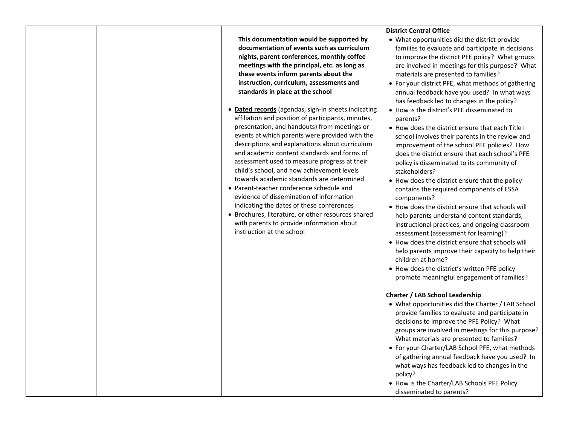| This documentation would be supported by            | <b>District Central Office</b><br>• What opportunities did the district provide |
|-----------------------------------------------------|---------------------------------------------------------------------------------|
| documentation of events such as curriculum          | families to evaluate and participate in decisions                               |
| nights, parent conferences, monthly coffee          | to improve the district PFE policy? What groups                                 |
| meetings with the principal, etc. as long as        | are involved in meetings for this purpose? What                                 |
| these events inform parents about the               | materials are presented to families?                                            |
| instruction, curriculum, assessments and            | • For your district PFE, what methods of gathering                              |
| standards in place at the school                    | annual feedback have you used? In what ways                                     |
|                                                     | has feedback led to changes in the policy?                                      |
| • Dated records (agendas, sign-in sheets indicating | • How is the district's PFE disseminated to                                     |
| affiliation and position of participants, minutes,  | parents?                                                                        |
| presentation, and handouts) from meetings or        | . How does the district ensure that each Title I                                |
| events at which parents were provided with the      | school involves their parents in the review and                                 |
| descriptions and explanations about curriculum      | improvement of the school PFE policies? How                                     |
| and academic content standards and forms of         | does the district ensure that each school's PFE                                 |
| assessment used to measure progress at their        | policy is disseminated to its community of                                      |
| child's school, and how achievement levels          | stakeholders?                                                                   |
| towards academic standards are determined.          | • How does the district ensure that the policy                                  |
| • Parent-teacher conference schedule and            | contains the required components of ESSA                                        |
| evidence of dissemination of information            | components?                                                                     |
| indicating the dates of these conferences           | • How does the district ensure that schools will                                |
| • Brochures, literature, or other resources shared  | help parents understand content standards,                                      |
| with parents to provide information about           | instructional practices, and ongoing classroom                                  |
| instruction at the school                           | assessment (assessment for learning)?                                           |
|                                                     | • How does the district ensure that schools will                                |
|                                                     | help parents improve their capacity to help their                               |
|                                                     | children at home?                                                               |
|                                                     | • How does the district's written PFE policy                                    |
|                                                     | promote meaningful engagement of families?                                      |
|                                                     |                                                                                 |
|                                                     | <b>Charter / LAB School Leadership</b>                                          |
|                                                     | • What opportunities did the Charter / LAB School                               |
|                                                     | provide families to evaluate and participate in                                 |
|                                                     | decisions to improve the PFE Policy? What                                       |
|                                                     | groups are involved in meetings for this purpose?                               |
|                                                     | What materials are presented to families?                                       |
|                                                     | • For your Charter/LAB School PFE, what methods                                 |
|                                                     | of gathering annual feedback have you used? In                                  |
|                                                     | what ways has feedback led to changes in the                                    |
|                                                     | policy?                                                                         |
|                                                     | • How is the Charter/LAB Schools PFE Policy                                     |
|                                                     | disseminated to parents?                                                        |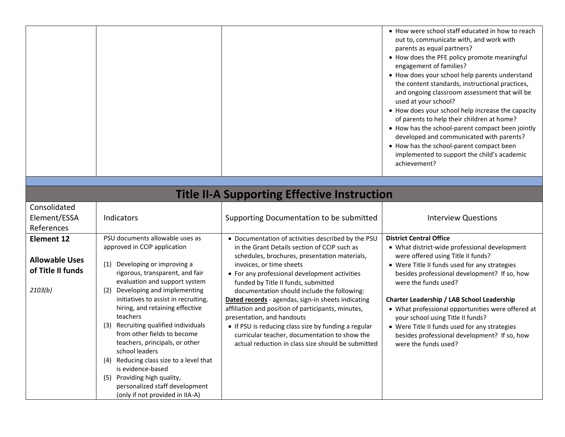|  | • How were school staff educated in how to reach<br>out to, communicate with, and work with<br>parents as equal partners?<br>• How does the PFE policy promote meaningful<br>engagement of families?<br>• How does your school help parents understand<br>the content standards, instructional practices,<br>and ongoing classroom assessment that will be<br>used at your school?<br>• How does your school help increase the capacity<br>of parents to help their children at home?<br>• How has the school-parent compact been jointly |
|--|-------------------------------------------------------------------------------------------------------------------------------------------------------------------------------------------------------------------------------------------------------------------------------------------------------------------------------------------------------------------------------------------------------------------------------------------------------------------------------------------------------------------------------------------|
|  |                                                                                                                                                                                                                                                                                                                                                                                                                                                                                                                                           |
|  | developed and communicated with parents?                                                                                                                                                                                                                                                                                                                                                                                                                                                                                                  |
|  | • How has the school-parent compact been<br>implemented to support the child's academic<br>achievement?                                                                                                                                                                                                                                                                                                                                                                                                                                   |

|  | <b>Title II-A Supporting Effective Instruction</b> |
|--|----------------------------------------------------|
|--|----------------------------------------------------|

| Consolidated<br>Element/ESSA<br>References                                 | <b>Indicators</b>                                                                                                                                                                                                                                                                                                                                                                                                                                                                                                                                                                                            | Supporting Documentation to be submitted                                                                                                                                                                                                                                                                                                                                                                                                                                                                                                                                                                                        | <b>Interview Questions</b>                                                                                                                                                                                                                                                                                                                                                                                                                                                                                      |
|----------------------------------------------------------------------------|--------------------------------------------------------------------------------------------------------------------------------------------------------------------------------------------------------------------------------------------------------------------------------------------------------------------------------------------------------------------------------------------------------------------------------------------------------------------------------------------------------------------------------------------------------------------------------------------------------------|---------------------------------------------------------------------------------------------------------------------------------------------------------------------------------------------------------------------------------------------------------------------------------------------------------------------------------------------------------------------------------------------------------------------------------------------------------------------------------------------------------------------------------------------------------------------------------------------------------------------------------|-----------------------------------------------------------------------------------------------------------------------------------------------------------------------------------------------------------------------------------------------------------------------------------------------------------------------------------------------------------------------------------------------------------------------------------------------------------------------------------------------------------------|
| <b>Element 12</b><br><b>Allowable Uses</b><br>of Title II funds<br>2103(b) | PSU documents allowable uses as<br>approved in CCIP application<br>Developing or improving a<br>(1)<br>rigorous, transparent, and fair<br>evaluation and support system<br>Developing and implementing<br>(2)<br>initiatives to assist in recruiting,<br>hiring, and retaining effective<br>teachers<br>Recruiting qualified individuals<br>(3)<br>from other fields to become<br>teachers, principals, or other<br>school leaders<br>Reducing class size to a level that<br>(4)<br>is evidence-based<br>Providing high quality,<br>(5)<br>personalized staff development<br>(only if not provided in IIA-A) | • Documentation of activities described by the PSU<br>in the Grant Details section of CCIP such as<br>schedules, brochures, presentation materials,<br>invoices, or time sheets<br>• For any professional development activities<br>funded by Title II funds, submitted<br>documentation should include the following:<br>Dated records - agendas, sign-in sheets indicating<br>affiliation and position of participants, minutes,<br>presentation, and handouts<br>• If PSU is reducing class size by funding a regular<br>curricular teacher, documentation to show the<br>actual reduction in class size should be submitted | <b>District Central Office</b><br>• What district-wide professional development<br>were offered using Title II funds?<br>• Were Title II funds used for any strategies<br>besides professional development? If so, how<br>were the funds used?<br>Charter Leadership / LAB School Leadership<br>• What professional opportunities were offered at<br>your school using Title II funds?<br>• Were Title II funds used for any strategies<br>besides professional development? If so, how<br>were the funds used? |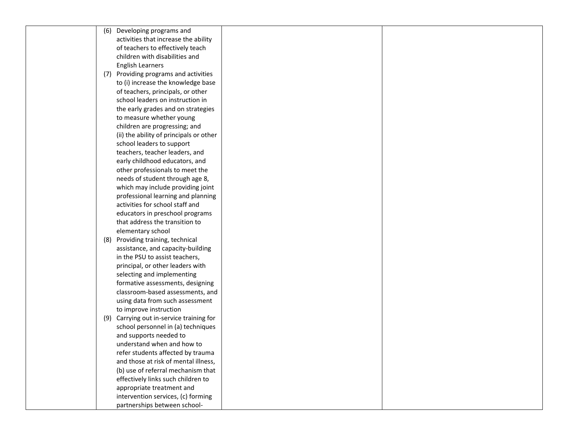| (6) | Developing programs and                  |  |
|-----|------------------------------------------|--|
|     | activities that increase the ability     |  |
|     | of teachers to effectively teach         |  |
|     | children with disabilities and           |  |
|     | <b>English Learners</b>                  |  |
|     | (7) Providing programs and activities    |  |
|     | to (i) increase the knowledge base       |  |
|     | of teachers, principals, or other        |  |
|     | school leaders on instruction in         |  |
|     | the early grades and on strategies       |  |
|     | to measure whether young                 |  |
|     | children are progressing; and            |  |
|     | (ii) the ability of principals or other  |  |
|     | school leaders to support                |  |
|     | teachers, teacher leaders, and           |  |
|     | early childhood educators, and           |  |
|     | other professionals to meet the          |  |
|     | needs of student through age 8,          |  |
|     | which may include providing joint        |  |
|     | professional learning and planning       |  |
|     | activities for school staff and          |  |
|     | educators in preschool programs          |  |
|     | that address the transition to           |  |
|     | elementary school                        |  |
|     | (8) Providing training, technical        |  |
|     | assistance, and capacity-building        |  |
|     | in the PSU to assist teachers,           |  |
|     | principal, or other leaders with         |  |
|     | selecting and implementing               |  |
|     | formative assessments, designing         |  |
|     | classroom-based assessments, and         |  |
|     | using data from such assessment          |  |
|     | to improve instruction                   |  |
|     | (9) Carrying out in-service training for |  |
|     | school personnel in (a) techniques       |  |
|     | and supports needed to                   |  |
|     | understand when and how to               |  |
|     | refer students affected by trauma        |  |
|     | and those at risk of mental illness,     |  |
|     | (b) use of referral mechanism that       |  |
|     | effectively links such children to       |  |
|     | appropriate treatment and                |  |
|     | intervention services, (c) forming       |  |
|     | partnerships between school-             |  |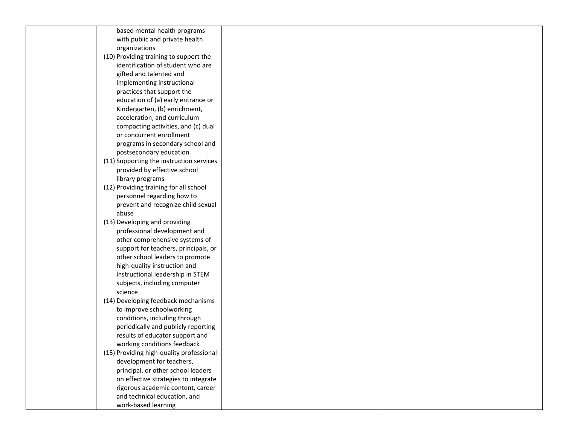| based mental health programs             |  |
|------------------------------------------|--|
| with public and private health           |  |
| organizations                            |  |
| (10) Providing training to support the   |  |
| identification of student who are        |  |
| gifted and talented and                  |  |
| implementing instructional               |  |
| practices that support the               |  |
| education of (a) early entrance or       |  |
| Kindergarten, (b) enrichment,            |  |
| acceleration, and curriculum             |  |
| compacting activities, and (c) dual      |  |
| or concurrent enrollment                 |  |
| programs in secondary school and         |  |
| postsecondary education                  |  |
| (11) Supporting the instruction services |  |
| provided by effective school             |  |
| library programs                         |  |
| (12) Providing training for all school   |  |
| personnel regarding how to               |  |
| prevent and recognize child sexual       |  |
| abuse                                    |  |
| (13) Developing and providing            |  |
| professional development and             |  |
| other comprehensive systems of           |  |
| support for teachers, principals, or     |  |
| other school leaders to promote          |  |
| high-quality instruction and             |  |
| instructional leadership in STEM         |  |
| subjects, including computer             |  |
| science                                  |  |
| (14) Developing feedback mechanisms      |  |
| to improve schoolworking                 |  |
| conditions, including through            |  |
| periodically and publicly reporting      |  |
| results of educator support and          |  |
| working conditions feedback              |  |
| (15) Providing high-quality professional |  |
| development for teachers,                |  |
| principal, or other school leaders       |  |
| on effective strategies to integrate     |  |
| rigorous academic content, career        |  |
| and technical education, and             |  |
| work-based learning                      |  |
|                                          |  |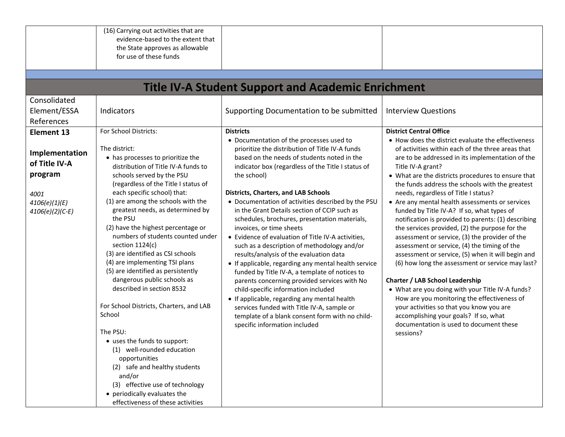|                                                                                                        | (16) Carrying out activities that are<br>evidence-based to the extent that<br>the State approves as allowable<br>for use of these funds                                                                                                                                                                                                                                                                                                                                                                                                                                                                                                                                                                                                                                                                                                                                               |                                                                                                                                                                                                                                                                                                                                                                                                                                                                                                                                                                                                                                                                                                                                                                                                                                                                                                                                                                                                          |                                                                                                                                                                                                                                                                                                                                                                                                                                                                                                                                                                                                                                                                                                                                                                                                                                                                                                                                                                                                                                                                                    |
|--------------------------------------------------------------------------------------------------------|---------------------------------------------------------------------------------------------------------------------------------------------------------------------------------------------------------------------------------------------------------------------------------------------------------------------------------------------------------------------------------------------------------------------------------------------------------------------------------------------------------------------------------------------------------------------------------------------------------------------------------------------------------------------------------------------------------------------------------------------------------------------------------------------------------------------------------------------------------------------------------------|----------------------------------------------------------------------------------------------------------------------------------------------------------------------------------------------------------------------------------------------------------------------------------------------------------------------------------------------------------------------------------------------------------------------------------------------------------------------------------------------------------------------------------------------------------------------------------------------------------------------------------------------------------------------------------------------------------------------------------------------------------------------------------------------------------------------------------------------------------------------------------------------------------------------------------------------------------------------------------------------------------|------------------------------------------------------------------------------------------------------------------------------------------------------------------------------------------------------------------------------------------------------------------------------------------------------------------------------------------------------------------------------------------------------------------------------------------------------------------------------------------------------------------------------------------------------------------------------------------------------------------------------------------------------------------------------------------------------------------------------------------------------------------------------------------------------------------------------------------------------------------------------------------------------------------------------------------------------------------------------------------------------------------------------------------------------------------------------------|
|                                                                                                        |                                                                                                                                                                                                                                                                                                                                                                                                                                                                                                                                                                                                                                                                                                                                                                                                                                                                                       | <b>Title IV-A Student Support and Academic Enrichment</b>                                                                                                                                                                                                                                                                                                                                                                                                                                                                                                                                                                                                                                                                                                                                                                                                                                                                                                                                                |                                                                                                                                                                                                                                                                                                                                                                                                                                                                                                                                                                                                                                                                                                                                                                                                                                                                                                                                                                                                                                                                                    |
| Consolidated<br>Element/ESSA<br>References                                                             | Indicators                                                                                                                                                                                                                                                                                                                                                                                                                                                                                                                                                                                                                                                                                                                                                                                                                                                                            | Supporting Documentation to be submitted                                                                                                                                                                                                                                                                                                                                                                                                                                                                                                                                                                                                                                                                                                                                                                                                                                                                                                                                                                 | <b>Interview Questions</b>                                                                                                                                                                                                                                                                                                                                                                                                                                                                                                                                                                                                                                                                                                                                                                                                                                                                                                                                                                                                                                                         |
| Element 13<br>Implementation<br>of Title IV-A<br>program<br>4001<br>4106(e)(1)(E)<br>$4106(e)(2)(C-E)$ | For School Districts:<br>The district:<br>• has processes to prioritize the<br>distribution of Title IV-A funds to<br>schools served by the PSU<br>(regardless of the Title I status of<br>each specific school) that:<br>(1) are among the schools with the<br>greatest needs, as determined by<br>the PSU<br>(2) have the highest percentage or<br>numbers of students counted under<br>section 1124(c)<br>(3) are identified as CSI schools<br>(4) are implementing TSI plans<br>(5) are identified as persistently<br>dangerous public schools as<br>described in section 8532<br>For School Districts, Charters, and LAB<br>School<br>The PSU:<br>• uses the funds to support:<br>(1) well-rounded education<br>opportunities<br>(2) safe and healthy students<br>and/or<br>(3) effective use of technology<br>• periodically evaluates the<br>effectiveness of these activities | <b>Districts</b><br>• Documentation of the processes used to<br>prioritize the distribution of Title IV-A funds<br>based on the needs of students noted in the<br>indicator box (regardless of the Title I status of<br>the school)<br><b>Districts, Charters, and LAB Schools</b><br>• Documentation of activities described by the PSU<br>in the Grant Details section of CCIP such as<br>schedules, brochures, presentation materials,<br>invoices, or time sheets<br>• Evidence of evaluation of Title IV-A activities,<br>such as a description of methodology and/or<br>results/analysis of the evaluation data<br>• If applicable, regarding any mental health service<br>funded by Title IV-A, a template of notices to<br>parents concerning provided services with No<br>child-specific information included<br>• If applicable, regarding any mental health<br>services funded with Title IV-A, sample or<br>template of a blank consent form with no child-<br>specific information included | <b>District Central Office</b><br>• How does the district evaluate the effectiveness<br>of activities within each of the three areas that<br>are to be addressed in its implementation of the<br>Title IV-A grant?<br>• What are the districts procedures to ensure that<br>the funds address the schools with the greatest<br>needs, regardless of Title I status?<br>• Are any mental health assessments or services<br>funded by Title IV-A? If so, what types of<br>notification is provided to parents: (1) describing<br>the services provided, (2) the purpose for the<br>assessment or service, (3) the provider of the<br>assessment or service, (4) the timing of the<br>assessment or service, (5) when it will begin and<br>(6) how long the assessment or service may last?<br><b>Charter / LAB School Leadership</b><br>• What are you doing with your Title IV-A funds?<br>How are you monitoring the effectiveness of<br>your activities so that you know you are<br>accomplishing your goals? If so, what<br>documentation is used to document these<br>sessions? |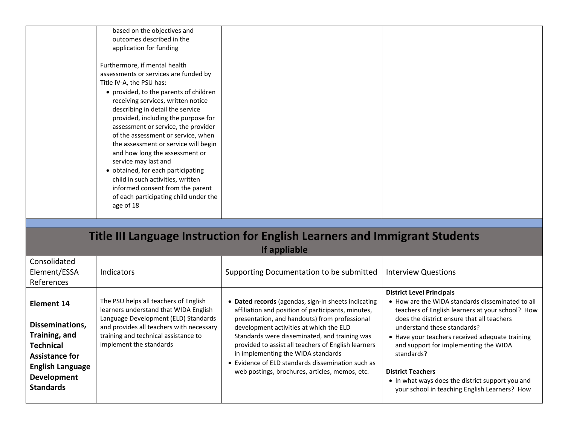| based on the objectives and<br>outcomes described in the<br>application for funding                                                                                                                                                                                                                                                                                                                                                                                                                                                                                                                               |  |
|-------------------------------------------------------------------------------------------------------------------------------------------------------------------------------------------------------------------------------------------------------------------------------------------------------------------------------------------------------------------------------------------------------------------------------------------------------------------------------------------------------------------------------------------------------------------------------------------------------------------|--|
| Furthermore, if mental health<br>assessments or services are funded by<br>Title IV-A, the PSU has:<br>• provided, to the parents of children<br>receiving services, written notice<br>describing in detail the service<br>provided, including the purpose for<br>assessment or service, the provider<br>of the assessment or service, when<br>the assessment or service will begin<br>and how long the assessment or<br>service may last and<br>• obtained, for each participating<br>child in such activities, written<br>informed consent from the parent<br>of each participating child under the<br>age of 18 |  |

## **Title III Language Instruction for English Learners and Immigrant Students If appliable**

|                                                                                                                                                                  | $\cdots$ and $\blacksquare$                                                                                                                                                                                                           |                                                                                                                                                                                                                                                                                                                                                                                                                                                          |                                                                                                                                                                                                                                                                                                                                                                                                                                                                  |  |
|------------------------------------------------------------------------------------------------------------------------------------------------------------------|---------------------------------------------------------------------------------------------------------------------------------------------------------------------------------------------------------------------------------------|----------------------------------------------------------------------------------------------------------------------------------------------------------------------------------------------------------------------------------------------------------------------------------------------------------------------------------------------------------------------------------------------------------------------------------------------------------|------------------------------------------------------------------------------------------------------------------------------------------------------------------------------------------------------------------------------------------------------------------------------------------------------------------------------------------------------------------------------------------------------------------------------------------------------------------|--|
| Consolidated<br>Element/ESSA<br>References                                                                                                                       | Indicators                                                                                                                                                                                                                            | Supporting Documentation to be submitted                                                                                                                                                                                                                                                                                                                                                                                                                 | <b>Interview Questions</b>                                                                                                                                                                                                                                                                                                                                                                                                                                       |  |
| Element 14<br>Disseminations,<br>Training, and<br><b>Technical</b><br><b>Assistance for</b><br><b>English Language</b><br><b>Development</b><br><b>Standards</b> | The PSU helps all teachers of English<br>learners understand that WIDA English<br>Language Development (ELD) Standards<br>and provides all teachers with necessary<br>training and technical assistance to<br>implement the standards | Dated records (agendas, sign-in sheets indicating<br>affiliation and position of participants, minutes,<br>presentation, and handouts) from professional<br>development activities at which the ELD<br>Standards were disseminated, and training was<br>provided to assist all teachers of English learners<br>in implementing the WIDA standards<br>• Evidence of ELD standards dissemination such as<br>web postings, brochures, articles, memos, etc. | <b>District Level Principals</b><br>• How are the WIDA standards disseminated to all<br>teachers of English learners at your school? How<br>does the district ensure that all teachers<br>understand these standards?<br>• Have your teachers received adequate training<br>and support for implementing the WIDA<br>standards?<br><b>District Teachers</b><br>• In what ways does the district support you and<br>your school in teaching English Learners? How |  |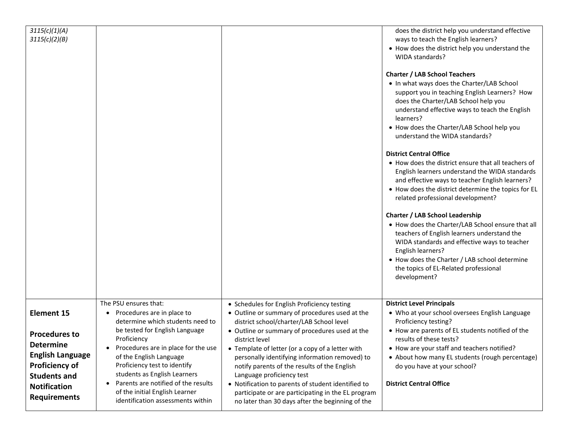| 3115(c)(1)(A)<br>3115(c)(2)(B)               |                                                                             |                                                                                            | does the district help you understand effective<br>ways to teach the English learners?                |
|----------------------------------------------|-----------------------------------------------------------------------------|--------------------------------------------------------------------------------------------|-------------------------------------------------------------------------------------------------------|
|                                              |                                                                             |                                                                                            | • How does the district help you understand the<br>WIDA standards?                                    |
|                                              |                                                                             |                                                                                            |                                                                                                       |
|                                              |                                                                             |                                                                                            | <b>Charter / LAB School Teachers</b>                                                                  |
|                                              |                                                                             |                                                                                            | . In what ways does the Charter/LAB School                                                            |
|                                              |                                                                             |                                                                                            | support you in teaching English Learners? How<br>does the Charter/LAB School help you                 |
|                                              |                                                                             |                                                                                            | understand effective ways to teach the English                                                        |
|                                              |                                                                             |                                                                                            | learners?                                                                                             |
|                                              |                                                                             |                                                                                            | • How does the Charter/LAB School help you                                                            |
|                                              |                                                                             |                                                                                            | understand the WIDA standards?                                                                        |
|                                              |                                                                             |                                                                                            | <b>District Central Office</b>                                                                        |
|                                              |                                                                             |                                                                                            | • How does the district ensure that all teachers of<br>English learners understand the WIDA standards |
|                                              |                                                                             |                                                                                            | and effective ways to teacher English learners?                                                       |
|                                              |                                                                             |                                                                                            | • How does the district determine the topics for EL                                                   |
|                                              |                                                                             |                                                                                            | related professional development?                                                                     |
|                                              |                                                                             |                                                                                            | <b>Charter / LAB School Leadership</b>                                                                |
|                                              |                                                                             |                                                                                            | • How does the Charter/LAB School ensure that all<br>teachers of English learners understand the      |
|                                              |                                                                             |                                                                                            | WIDA standards and effective ways to teacher<br>English learners?                                     |
|                                              |                                                                             |                                                                                            | • How does the Charter / LAB school determine                                                         |
|                                              |                                                                             |                                                                                            | the topics of EL-Related professional                                                                 |
|                                              |                                                                             |                                                                                            | development?                                                                                          |
|                                              |                                                                             |                                                                                            |                                                                                                       |
|                                              | The PSU ensures that:                                                       | • Schedules for English Proficiency testing                                                | <b>District Level Principals</b>                                                                      |
| <b>Element 15</b>                            | Procedures are in place to<br>$\bullet$<br>determine which students need to | • Outline or summary of procedures used at the<br>district school/charter/LAB School level | • Who at your school oversees English Language<br>Proficiency testing?                                |
|                                              | be tested for English Language                                              | • Outline or summary of procedures used at the                                             | • How are parents of EL students notified of the                                                      |
| <b>Procedures to</b>                         | Proficiency                                                                 | district level                                                                             | results of these tests?                                                                               |
| <b>Determine</b>                             | Procedures are in place for the use<br>$\bullet$                            | • Template of letter (or a copy of a letter with                                           | • How are your staff and teachers notified?                                                           |
| <b>English Language</b>                      | of the English Language<br>Proficiency test to identify                     | personally identifying information removed) to                                             | • About how many EL students (rough percentage)                                                       |
| <b>Proficiency of</b><br><b>Students and</b> | students as English Learners                                                | notify parents of the results of the English<br>Language proficiency test                  | do you have at your school?                                                                           |
| <b>Notification</b>                          | Parents are notified of the results                                         | • Notification to parents of student identified to                                         | <b>District Central Office</b>                                                                        |
| <b>Requirements</b>                          | of the initial English Learner                                              | participate or are participating in the EL program                                         |                                                                                                       |
|                                              | identification assessments within                                           | no later than 30 days after the beginning of the                                           |                                                                                                       |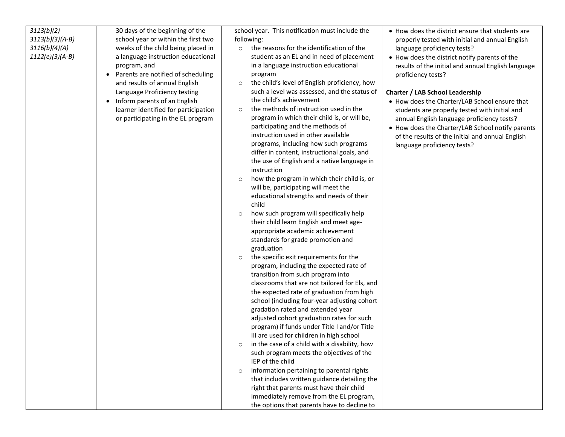| $3113(b)(3)(A-B)$<br>3116(b)(4)(A)<br>$1112(e)(3)(A-B)$ | school year or within the first two<br>weeks of the child being placed in<br>a language instruction educational<br>program, and<br>Parents are notified of scheduling<br>$\bullet$<br>and results of annual English<br>Language Proficiency testing<br>Inform parents of an English<br>$\bullet$<br>learner identified for participation<br>or participating in the EL program | following:<br>the reasons for the identification of the<br>$\circ$<br>student as an EL and in need of placement<br>in a language instruction educational<br>program<br>the child's level of English proficiency, how<br>$\circ$<br>such a level was assessed, and the status of<br>the child's achievement<br>the methods of instruction used in the<br>$\circ$<br>program in which their child is, or will be,<br>participating and the methods of<br>instruction used in other available<br>programs, including how such programs<br>differ in content, instructional goals, and<br>the use of English and a native language in<br>instruction<br>how the program in which their child is, or<br>$\circ$<br>will be, participating will meet the<br>educational strengths and needs of their<br>child<br>how such program will specifically help<br>$\circ$<br>their child learn English and meet age-<br>appropriate academic achievement<br>standards for grade promotion and<br>graduation<br>the specific exit requirements for the<br>$\circ$<br>program, including the expected rate of<br>transition from such program into<br>classrooms that are not tailored for Els, and<br>the expected rate of graduation from high<br>school (including four-year adjusting cohort<br>gradation rated and extended year<br>adjusted cohort graduation rates for such<br>program) if funds under Title I and/or Title<br>III are used for children in high school<br>in the case of a child with a disability, how<br>such program meets the objectives of the<br>IEP of the child<br>information pertaining to parental rights<br>$\circ$<br>that includes written guidance detailing the<br>right that parents must have their child<br>immediately remove from the EL program,<br>the options that parents have to decline to | properly tested with initial and annual English<br>language proficiency tests?<br>• How does the district notify parents of the<br>results of the initial and annual English language<br>proficiency tests?<br><b>Charter / LAB School Leadership</b><br>• How does the Charter/LAB School ensure that<br>students are properly tested with initial and<br>annual English language proficiency tests?<br>• How does the Charter/LAB School notify parents<br>of the results of the initial and annual English<br>language proficiency tests? |
|---------------------------------------------------------|--------------------------------------------------------------------------------------------------------------------------------------------------------------------------------------------------------------------------------------------------------------------------------------------------------------------------------------------------------------------------------|---------------------------------------------------------------------------------------------------------------------------------------------------------------------------------------------------------------------------------------------------------------------------------------------------------------------------------------------------------------------------------------------------------------------------------------------------------------------------------------------------------------------------------------------------------------------------------------------------------------------------------------------------------------------------------------------------------------------------------------------------------------------------------------------------------------------------------------------------------------------------------------------------------------------------------------------------------------------------------------------------------------------------------------------------------------------------------------------------------------------------------------------------------------------------------------------------------------------------------------------------------------------------------------------------------------------------------------------------------------------------------------------------------------------------------------------------------------------------------------------------------------------------------------------------------------------------------------------------------------------------------------------------------------------------------------------------------------------------------------------------------------------------------------------------------------------------------|----------------------------------------------------------------------------------------------------------------------------------------------------------------------------------------------------------------------------------------------------------------------------------------------------------------------------------------------------------------------------------------------------------------------------------------------------------------------------------------------------------------------------------------------|
|---------------------------------------------------------|--------------------------------------------------------------------------------------------------------------------------------------------------------------------------------------------------------------------------------------------------------------------------------------------------------------------------------------------------------------------------------|---------------------------------------------------------------------------------------------------------------------------------------------------------------------------------------------------------------------------------------------------------------------------------------------------------------------------------------------------------------------------------------------------------------------------------------------------------------------------------------------------------------------------------------------------------------------------------------------------------------------------------------------------------------------------------------------------------------------------------------------------------------------------------------------------------------------------------------------------------------------------------------------------------------------------------------------------------------------------------------------------------------------------------------------------------------------------------------------------------------------------------------------------------------------------------------------------------------------------------------------------------------------------------------------------------------------------------------------------------------------------------------------------------------------------------------------------------------------------------------------------------------------------------------------------------------------------------------------------------------------------------------------------------------------------------------------------------------------------------------------------------------------------------------------------------------------------------|----------------------------------------------------------------------------------------------------------------------------------------------------------------------------------------------------------------------------------------------------------------------------------------------------------------------------------------------------------------------------------------------------------------------------------------------------------------------------------------------------------------------------------------------|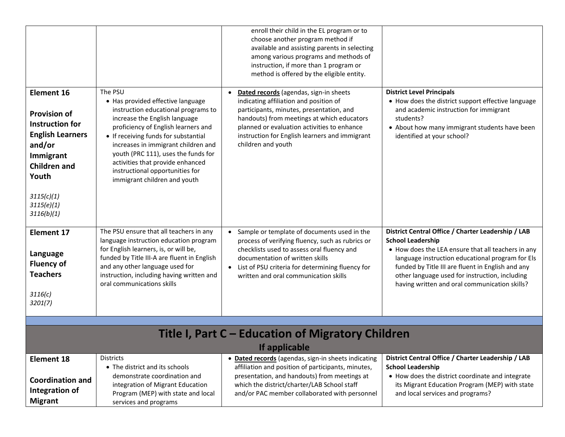|                                                                                                                                                                                                |                                                                                                                                                                                                                                                                                                                                                                                          | enroll their child in the EL program or to<br>choose another program method if<br>available and assisting parents in selecting<br>among various programs and methods of<br>instruction, if more than 1 program or<br>method is offered by the eligible entity.                                    |                                                                                                                                                                                                                                                                                                                                                  |  |
|------------------------------------------------------------------------------------------------------------------------------------------------------------------------------------------------|------------------------------------------------------------------------------------------------------------------------------------------------------------------------------------------------------------------------------------------------------------------------------------------------------------------------------------------------------------------------------------------|---------------------------------------------------------------------------------------------------------------------------------------------------------------------------------------------------------------------------------------------------------------------------------------------------|--------------------------------------------------------------------------------------------------------------------------------------------------------------------------------------------------------------------------------------------------------------------------------------------------------------------------------------------------|--|
| <b>Element 16</b><br><b>Provision of</b><br><b>Instruction for</b><br><b>English Learners</b><br>and/or<br>Immigrant<br><b>Children and</b><br>Youth<br>3115(c)(1)<br>3115(e)(1)<br>3116(b)(1) | The PSU<br>• Has provided effective language<br>instruction educational programs to<br>increase the English language<br>proficiency of English learners and<br>• If receiving funds for substantial<br>increases in immigrant children and<br>youth (PRC 111), uses the funds for<br>activities that provide enhanced<br>instructional opportunities for<br>immigrant children and youth | Dated records (agendas, sign-in sheets<br>indicating affiliation and position of<br>participants, minutes, presentation, and<br>handouts) from meetings at which educators<br>planned or evaluation activities to enhance<br>instruction for English learners and immigrant<br>children and youth | <b>District Level Principals</b><br>• How does the district support effective language<br>and academic instruction for immigrant<br>students?<br>• About how many immigrant students have been<br>identified at your school?                                                                                                                     |  |
| <b>Element 17</b><br>Language<br><b>Fluency of</b><br><b>Teachers</b><br>3116(c)<br>3201(7)                                                                                                    | The PSU ensure that all teachers in any<br>language instruction education program<br>for English learners, is, or will be,<br>funded by Title III-A are fluent in English<br>and any other language used for<br>instruction, including having written and<br>oral communications skills                                                                                                  | Sample or template of documents used in the<br>process of verifying fluency, such as rubrics or<br>checklists used to assess oral fluency and<br>documentation of written skills<br>List of PSU criteria for determining fluency for<br>written and oral communication skills                     | District Central Office / Charter Leadership / LAB<br><b>School Leadership</b><br>• How does the LEA ensure that all teachers in any<br>language instruction educational program for Els<br>funded by Title III are fluent in English and any<br>other language used for instruction, including<br>having written and oral communication skills? |  |
|                                                                                                                                                                                                |                                                                                                                                                                                                                                                                                                                                                                                          |                                                                                                                                                                                                                                                                                                   |                                                                                                                                                                                                                                                                                                                                                  |  |
| Title I, Part C – Education of Migratory Children                                                                                                                                              |                                                                                                                                                                                                                                                                                                                                                                                          |                                                                                                                                                                                                                                                                                                   |                                                                                                                                                                                                                                                                                                                                                  |  |
| If applicable                                                                                                                                                                                  |                                                                                                                                                                                                                                                                                                                                                                                          |                                                                                                                                                                                                                                                                                                   |                                                                                                                                                                                                                                                                                                                                                  |  |
| <b>Element 18</b>                                                                                                                                                                              | <b>Districts</b><br>• The district and its schools                                                                                                                                                                                                                                                                                                                                       | · Dated records (agendas, sign-in sheets indicating<br>affiliation and position of participants, minutes,                                                                                                                                                                                         | District Central Office / Charter Leadership / LAB<br><b>School Leadership</b>                                                                                                                                                                                                                                                                   |  |
| <b>Coordination and</b><br>Integration of<br><b>Migrant</b>                                                                                                                                    | demonstrate coordination and<br>integration of Migrant Education<br>Program (MEP) with state and local<br>services and programs                                                                                                                                                                                                                                                          | presentation, and handouts) from meetings at<br>which the district/charter/LAB School staff<br>and/or PAC member collaborated with personnel                                                                                                                                                      | • How does the district coordinate and integrate<br>its Migrant Education Program (MEP) with state<br>and local services and programs?                                                                                                                                                                                                           |  |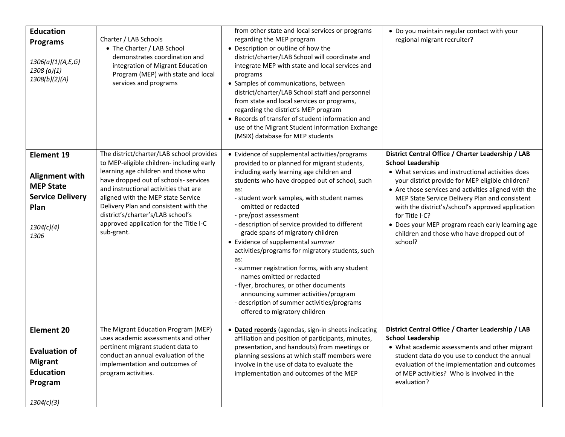| <b>Education</b><br><b>Programs</b><br>1306(a)(1)(A,E,G)<br>1308 (a)(1)<br>1308(b)(2)(A)                         | Charter / LAB Schools<br>• The Charter / LAB School<br>demonstrates coordination and<br>integration of Migrant Education<br>Program (MEP) with state and local<br>services and programs                                                                                                                                                                                                    | from other state and local services or programs<br>regarding the MEP program<br>• Description or outline of how the<br>district/charter/LAB School will coordinate and<br>integrate MEP with state and local services and<br>programs<br>• Samples of communications, between<br>district/charter/LAB School staff and personnel<br>from state and local services or programs,<br>regarding the district's MEP program<br>• Records of transfer of student information and<br>use of the Migrant Student Information Exchange<br>(MSIX) database for MEP students                                                                                                                                                                        | • Do you maintain regular contact with your<br>regional migrant recruiter?                                                                                                                                                                                                                                                                                                                                                                                                            |
|------------------------------------------------------------------------------------------------------------------|--------------------------------------------------------------------------------------------------------------------------------------------------------------------------------------------------------------------------------------------------------------------------------------------------------------------------------------------------------------------------------------------|------------------------------------------------------------------------------------------------------------------------------------------------------------------------------------------------------------------------------------------------------------------------------------------------------------------------------------------------------------------------------------------------------------------------------------------------------------------------------------------------------------------------------------------------------------------------------------------------------------------------------------------------------------------------------------------------------------------------------------------|---------------------------------------------------------------------------------------------------------------------------------------------------------------------------------------------------------------------------------------------------------------------------------------------------------------------------------------------------------------------------------------------------------------------------------------------------------------------------------------|
| <b>Element 19</b><br>Alignment with<br><b>MEP State</b><br><b>Service Delivery</b><br>Plan<br>1304(c)(4)<br>1306 | The district/charter/LAB school provides<br>to MEP-eligible children- including early<br>learning age children and those who<br>have dropped out of schools- services<br>and instructional activities that are<br>aligned with the MEP state Service<br>Delivery Plan and consistent with the<br>district's/charter's/LAB school's<br>approved application for the Title I-C<br>sub-grant. | • Evidence of supplemental activities/programs<br>provided to or planned for migrant students,<br>including early learning age children and<br>students who have dropped out of school, such<br>as:<br>- student work samples, with student names<br>omitted or redacted<br>- pre/post assessment<br>- description of service provided to different<br>grade spans of migratory children<br>• Evidence of supplemental summer<br>activities/programs for migratory students, such<br>as:<br>- summer registration forms, with any student<br>names omitted or redacted<br>- flyer, brochures, or other documents<br>announcing summer activities/program<br>- description of summer activities/programs<br>offered to migratory children | District Central Office / Charter Leadership / LAB<br><b>School Leadership</b><br>• What services and instructional activities does<br>your district provide for MEP eligible children?<br>• Are those services and activities aligned with the<br>MEP State Service Delivery Plan and consistent<br>with the district's/school's approved application<br>for Title I-C?<br>• Does your MEP program reach early learning age<br>children and those who have dropped out of<br>school? |
| <b>Element 20</b><br><b>Evaluation of</b><br><b>Migrant</b><br><b>Education</b><br>Program<br>1304(c)(3)         | The Migrant Education Program (MEP)<br>uses academic assessments and other<br>pertinent migrant student data to<br>conduct an annual evaluation of the<br>implementation and outcomes of<br>program activities.                                                                                                                                                                            | • Dated records (agendas, sign-in sheets indicating<br>affiliation and position of participants, minutes,<br>presentation, and handouts) from meetings or<br>planning sessions at which staff members were<br>involve in the use of data to evaluate the<br>implementation and outcomes of the MEP                                                                                                                                                                                                                                                                                                                                                                                                                                       | District Central Office / Charter Leadership / LAB<br><b>School Leadership</b><br>• What academic assessments and other migrant<br>student data do you use to conduct the annual<br>evaluation of the implementation and outcomes<br>of MEP activities? Who is involved in the<br>evaluation?                                                                                                                                                                                         |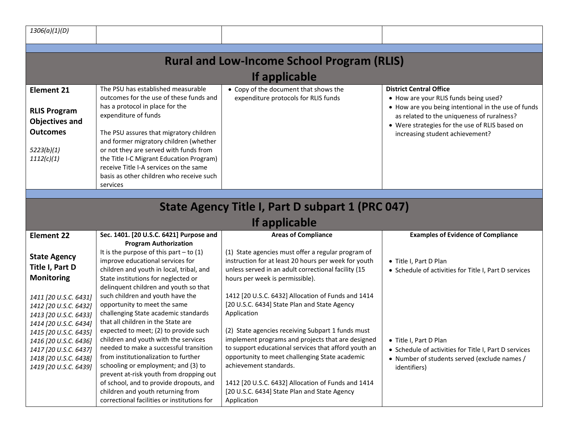| 1306(a)(1)(D)                                                                                                                                                                                                                 |                                                                                                                                                                                                                                                                                                                                                                                                                       |                                                                                                                                                                                                                                                                                                                                                                 |                                                                                                                                                                                                                                                                   |  |
|-------------------------------------------------------------------------------------------------------------------------------------------------------------------------------------------------------------------------------|-----------------------------------------------------------------------------------------------------------------------------------------------------------------------------------------------------------------------------------------------------------------------------------------------------------------------------------------------------------------------------------------------------------------------|-----------------------------------------------------------------------------------------------------------------------------------------------------------------------------------------------------------------------------------------------------------------------------------------------------------------------------------------------------------------|-------------------------------------------------------------------------------------------------------------------------------------------------------------------------------------------------------------------------------------------------------------------|--|
|                                                                                                                                                                                                                               |                                                                                                                                                                                                                                                                                                                                                                                                                       |                                                                                                                                                                                                                                                                                                                                                                 |                                                                                                                                                                                                                                                                   |  |
| <b>Rural and Low-Income School Program (RLIS)</b><br>If applicable                                                                                                                                                            |                                                                                                                                                                                                                                                                                                                                                                                                                       |                                                                                                                                                                                                                                                                                                                                                                 |                                                                                                                                                                                                                                                                   |  |
| <b>Element 21</b><br><b>RLIS Program</b><br><b>Objectives and</b><br><b>Outcomes</b><br>5223(b)(1)<br>1112(c)(1)                                                                                                              | The PSU has established measurable<br>outcomes for the use of these funds and<br>has a protocol in place for the<br>expenditure of funds<br>The PSU assures that migratory children<br>and former migratory children (whether<br>or not they are served with funds from<br>the Title I-C Migrant Education Program)<br>receive Title I-A services on the same<br>basis as other children who receive such<br>services | • Copy of the document that shows the<br>expenditure protocols for RLIS funds                                                                                                                                                                                                                                                                                   | <b>District Central Office</b><br>• How are your RLIS funds being used?<br>• How are you being intentional in the use of funds<br>as related to the uniqueness of ruralness?<br>• Were strategies for the use of RLIS based on<br>increasing student achievement? |  |
|                                                                                                                                                                                                                               |                                                                                                                                                                                                                                                                                                                                                                                                                       |                                                                                                                                                                                                                                                                                                                                                                 |                                                                                                                                                                                                                                                                   |  |
|                                                                                                                                                                                                                               |                                                                                                                                                                                                                                                                                                                                                                                                                       | State Agency Title I, Part D subpart 1 (PRC 047)                                                                                                                                                                                                                                                                                                                |                                                                                                                                                                                                                                                                   |  |
|                                                                                                                                                                                                                               |                                                                                                                                                                                                                                                                                                                                                                                                                       | If applicable                                                                                                                                                                                                                                                                                                                                                   |                                                                                                                                                                                                                                                                   |  |
| <b>Element 22</b>                                                                                                                                                                                                             | Sec. 1401. [20 U.S.C. 6421] Purpose and                                                                                                                                                                                                                                                                                                                                                                               | <b>Areas of Compliance</b>                                                                                                                                                                                                                                                                                                                                      | <b>Examples of Evidence of Compliance</b>                                                                                                                                                                                                                         |  |
| <b>State Agency</b><br>Title I, Part D<br><b>Monitoring</b>                                                                                                                                                                   | <b>Program Authorization</b><br>It is the purpose of this part $-$ to (1)<br>improve educational services for<br>children and youth in local, tribal, and<br>State institutions for neglected or<br>delinquent children and youth so that                                                                                                                                                                             | (1) State agencies must offer a regular program of<br>instruction for at least 20 hours per week for youth<br>unless served in an adult correctional facility (15<br>hours per week is permissible).                                                                                                                                                            | • Title I, Part D Plan<br>• Schedule of activities for Title I, Part D services                                                                                                                                                                                   |  |
| 1411 [20 U.S.C. 6431]<br>1412 [20 U.S.C. 6432]<br>1413 [20 U.S.C. 6433]<br>1414 [20 U.S.C. 6434]<br>1415 [20 U.S.C. 6435]<br>1416 [20 U.S.C. 6436]<br>1417 [20 U.S.C. 6437]<br>1418 [20 U.S.C. 6438]<br>1419 [20 U.S.C. 6439] | such children and youth have the<br>opportunity to meet the same<br>challenging State academic standards<br>that all children in the State are<br>expected to meet; (2) to provide such<br>children and youth with the services<br>needed to make a successful transition<br>from institutionalization to further<br>schooling or employment; and (3) to<br>prevent at-risk youth from dropping out                   | 1412 [20 U.S.C. 6432] Allocation of Funds and 1414<br>[20 U.S.C. 6434] State Plan and State Agency<br>Application<br>(2) State agencies receiving Subpart 1 funds must<br>implement programs and projects that are designed<br>to support educational services that afford youth an<br>opportunity to meet challenging State academic<br>achievement standards. | • Title I, Part D Plan<br>• Schedule of activities for Title I, Part D services<br>• Number of students served (exclude names /<br>identifiers)                                                                                                                   |  |
|                                                                                                                                                                                                                               | of school, and to provide dropouts, and<br>children and youth returning from                                                                                                                                                                                                                                                                                                                                          | 1412 [20 U.S.C. 6432] Allocation of Funds and 1414<br>[20 U.S.C. 6434] State Plan and State Agency                                                                                                                                                                                                                                                              |                                                                                                                                                                                                                                                                   |  |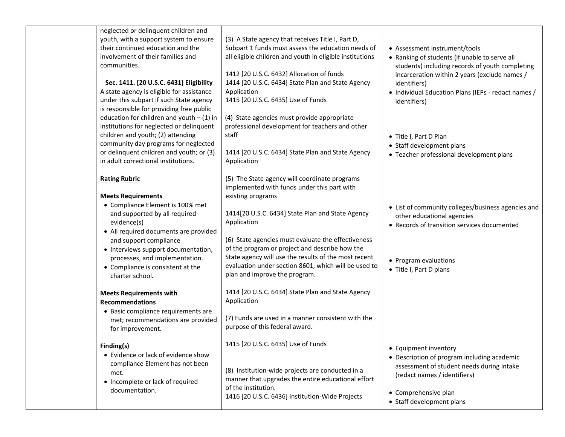| neglected or delinquent children and<br>youth, with a support system to ensure<br>their continued education and the<br>involvement of their families and<br>communities.<br>Sec. 1411. [20 U.S.C. 6431] Eligibility<br>A state agency is eligible for assistance<br>under this subpart if such State agency<br>is responsible for providing free public<br>education for children and youth $- (1)$ in<br>institutions for neglected or delinquent<br>children and youth; (2) attending<br>community day programs for neglected<br>or delinquent children and youth; or (3)<br>in adult correctional institutions. | (3) A State agency that receives Title I, Part D,<br>Subpart 1 funds must assess the education needs of<br>all eligible children and youth in eligible institutions<br>1412 [20 U.S.C. 6432] Allocation of funds<br>1414 [20 U.S.C. 6434] State Plan and State Agency<br>Application<br>1415 [20 U.S.C. 6435] Use of Funds<br>(4) State agencies must provide appropriate<br>professional development for teachers and other<br>staff<br>1414 [20 U.S.C. 6434] State Plan and State Agency<br>Application | • Assessment instrument/tools<br>• Ranking of students (if unable to serve all<br>students) including records of youth completing<br>incarceration within 2 years (exclude names /<br>identifiers)<br>• Individual Education Plans (IEPs - redact names /<br>identifiers)<br>• Title I, Part D Plan<br>• Staff development plans<br>• Teacher professional development plans |
|--------------------------------------------------------------------------------------------------------------------------------------------------------------------------------------------------------------------------------------------------------------------------------------------------------------------------------------------------------------------------------------------------------------------------------------------------------------------------------------------------------------------------------------------------------------------------------------------------------------------|-----------------------------------------------------------------------------------------------------------------------------------------------------------------------------------------------------------------------------------------------------------------------------------------------------------------------------------------------------------------------------------------------------------------------------------------------------------------------------------------------------------|------------------------------------------------------------------------------------------------------------------------------------------------------------------------------------------------------------------------------------------------------------------------------------------------------------------------------------------------------------------------------|
| <b>Rating Rubric</b><br><b>Meets Requirements</b><br>• Compliance Element is 100% met<br>and supported by all required<br>evidence(s)<br>• All required documents are provided<br>and support compliance<br>• Interviews support documentation,                                                                                                                                                                                                                                                                                                                                                                    | (5) The State agency will coordinate programs<br>implemented with funds under this part with<br>existing programs<br>1414[20 U.S.C. 6434] State Plan and State Agency<br>Application<br>(6) State agencies must evaluate the effectiveness<br>of the program or project and describe how the                                                                                                                                                                                                              | • List of community colleges/business agencies and<br>other educational agencies<br>• Records of transition services documented                                                                                                                                                                                                                                              |
| processes, and implementation.<br>• Compliance is consistent at the<br>charter school.                                                                                                                                                                                                                                                                                                                                                                                                                                                                                                                             | State agency will use the results of the most recent<br>evaluation under section 8601, which will be used to<br>plan and improve the program.                                                                                                                                                                                                                                                                                                                                                             | • Program evaluations<br>• Title I, Part D plans                                                                                                                                                                                                                                                                                                                             |
| <b>Meets Requirements with</b><br><b>Recommendations</b><br>• Basic compliance requirements are<br>met; recommendations are provided<br>for improvement.                                                                                                                                                                                                                                                                                                                                                                                                                                                           | 1414 [20 U.S.C. 6434] State Plan and State Agency<br>Application<br>(7) Funds are used in a manner consistent with the<br>purpose of this federal award.                                                                                                                                                                                                                                                                                                                                                  |                                                                                                                                                                                                                                                                                                                                                                              |
| Finding(s)<br>• Evidence or lack of evidence show<br>compliance Element has not been<br>met.<br>• Incomplete or lack of required<br>documentation.                                                                                                                                                                                                                                                                                                                                                                                                                                                                 | 1415 [20 U.S.C. 6435] Use of Funds<br>(8) Institution-wide projects are conducted in a<br>manner that upgrades the entire educational effort<br>of the institution.<br>1416 [20 U.S.C. 6436] Institution-Wide Projects                                                                                                                                                                                                                                                                                    | • Equipment inventory<br>• Description of program including academic<br>assessment of student needs during intake<br>(redact names / identifiers)<br>• Comprehensive plan<br>• Staff development plans                                                                                                                                                                       |